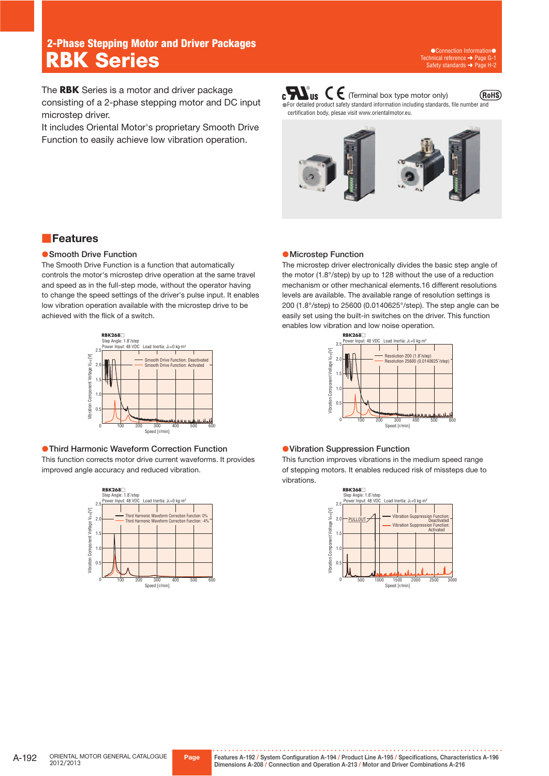# **2-Phase Stepping Motor and Driver Packages RBK Series**

The **RBK** Series is a motor and driver package consisting of a 2-phase stepping motor and DC input microstep driver.

It includes Oriental Motor's proprietary Smooth Drive Function to easily achieve low vibration operation.

 $\mathbf{c}$   $\mathbf{W}_{\text{us}}$   $\mathbf{C}$   $\mathbf{\in}$  (Terminal box type motor only) (RoHS) ●For detailed product safety standard information including standards, file number and certification body, plesae visit www.orientalmotor.eu.



# ■**Features**

### **• Smooth Drive Function**

The Smooth Drive Function is a function that automatically controls the motor's microstep drive operation at the same travel and speed as in the full-step mode, without the operator having to change the speed settings of the driver's pulse input. It enables low vibration operation available with the microstep drive to be achieved with the flick of a switch.



# ●**Third Harmonic Waveform Correction Function**

This function corrects motor drive current waveforms. It provides improved angle accuracy and reduced vibration.



### ●**Microstep Function**

The microstep driver electronically divides the basic step angle of the motor (1.8°/step) by up to 128 without the use of a reduction mechanism or other mechanical elements.16 different resolutions levels are available. The available range of resolution settings is 200 (1.8°/step) to 25600 (0.0140625°/step). The step angle can be easily set using the built-in switches on the driver. This function enables low vibration and low noise operation.



#### ●**Vibration Suppression Function**

This function improves vibrations in the medium speed range of stepping motors. It enables reduced risk of missteps due to vibrations.

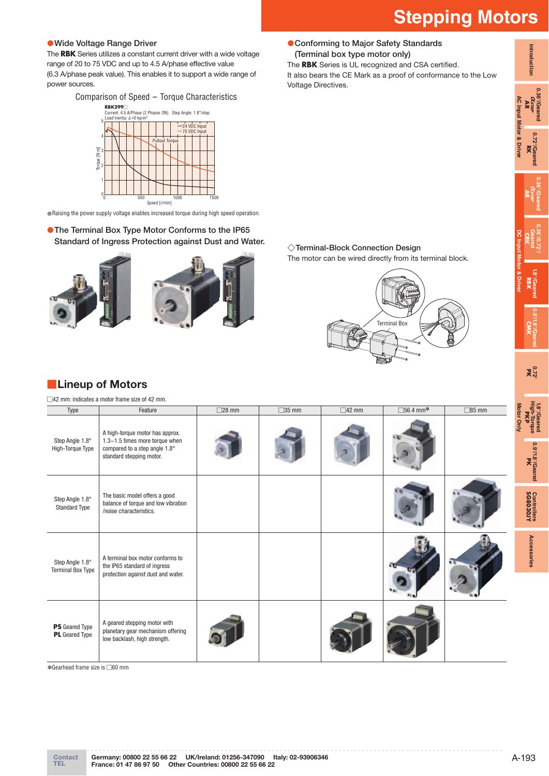**Introduction**

Introduction

**0.36°/Geared**  $\alpha_{\scriptscriptstyle \!X\!I\!I\!I\!I\!I\!I\!I\!I\!I} \over \mathbf{AR}$ 

> **0.72°/Geared** 0.72°/Geared<br>RK

**AC Input Motor & Driver**

**AC Input Motor & Driver** 

**0.36°/Geared AR**

**0.36°/0.72°/ Geared CRK**

**1.8°/Geared** 18<sup>7</sup>Geared<br>RBK

**DC Input Motor & Driver**

**0.9°/1.8°/Geared CMK**

**0.72° PK**

**1.8°/Geared High-Torque** 1.8°/Geared<br>High-Torque<br>High-Torque

**0.9°/1.8°/Geared** 0.9<sup>2</sup>/1.8<sup>2</sup>/Geared

**SG8030JY Controllers**

Controllers<br>SG8030JY

**Accessories**

Accessories

### ●**Wide Voltage Range Driver**

The **RBK** Series utilizes a constant current driver with a wide voltage range of 20 to 75 VDC and up to 4.5 A/phase effective value (6.3 A/phase peak value). This enables it to support a wide range of power sources.

Comparison of Speed - Torque Characteristics



●Raising the power supply voltage enables increased torque during high speed operation.

# ●**The Terminal Box Type Motor Conforms to the IP65 Standard of Ingress Protection against Dust and Water.** ◇**Terminal-Block Connection Design**



The motor can be wired directly from its terminal block.



# ■**Lineup of Motors**

□42 mm: indicates a motor frame size of 42 mm.

| Type                                           | Feature                                                                                                                        | $\square$ 28 mm | $\square$ 35 mm | $\square$ 42 mm | $\square$ 56.4 mm* | $\square$ 85 mm<br>lotor |
|------------------------------------------------|--------------------------------------------------------------------------------------------------------------------------------|-----------------|-----------------|-----------------|--------------------|--------------------------|
| Step Angle 1.8°<br>High-Torque Type            | A high-torque motor has approx.<br>1.3~1.5 times more torque when<br>compared to a step angle 1.8°<br>standard stepping motor. |                 |                 |                 |                    | <b>Vinly</b>             |
| Step Angle 1.8°<br><b>Standard Type</b>        | The basic model offers a good<br>balance of torque and low vibration<br>/noise characteristics.                                |                 |                 |                 |                    |                          |
| Step Angle 1.8°<br><b>Terminal Box Type</b>    | A terminal box motor conforms to<br>the IP65 standard of ingress<br>protection against dust and water.                         |                 |                 |                 |                    |                          |
| <b>PS</b> Geared Type<br><b>PL</b> Geared Type | A geared stepping motor with<br>planetary gear mechanism offering<br>low backlash, high strength.                              |                 |                 |                 |                    |                          |

✽Gearhead frame size is □60 mm

Voltage Directives.

 ●**Conforming to Major Safety Standards (Terminal box type motor only)**

The **RBK** Series is UL recognized and CSA certified.

It also bears the CE Mark as a proof of conformance to the Low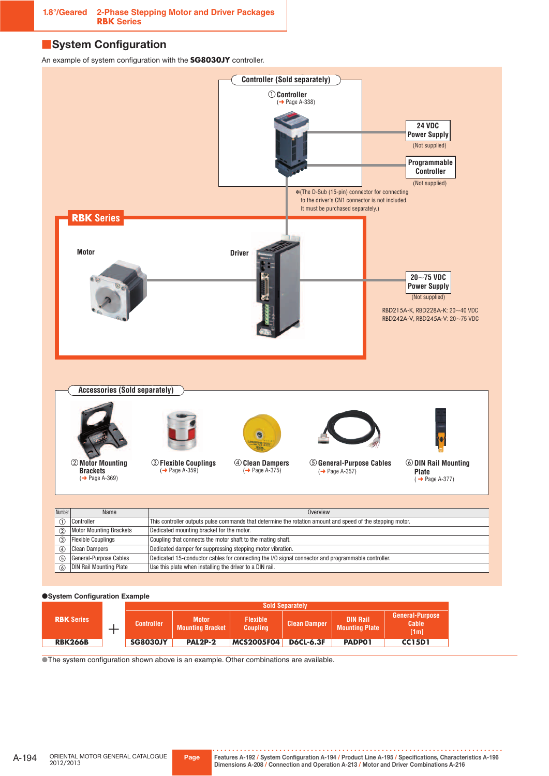# ■ **System Configuration**

An example of system configuration with the **SG8030JY** controller.



**·System Configuration Example** 

|                   |                   | <b>Sold Separately</b>                  |                                    |                     |                                          |                                  |  |
|-------------------|-------------------|-----------------------------------------|------------------------------------|---------------------|------------------------------------------|----------------------------------|--|
| <b>RBK Series</b> | <b>Controller</b> | <b>Motor</b><br><b>Mounting Bracket</b> | <b>Flexible</b><br><b>Coupling</b> | <b>Clean Damper</b> | <b>DIN Rail</b><br><b>Mounting Plate</b> | General-Purpose<br>Cable<br>[1m] |  |
| <b>RBK266B</b>    | <b>SG8030JY</b>   | <b>PAL2P-2</b>                          | <b>MCS2005F04</b>                  | <b>D6CL-6.3F</b>    | <b>PADPO1</b>                            | <b>CC15D1</b>                    |  |

**The system configuration shown above is an example. Other combinations are available.**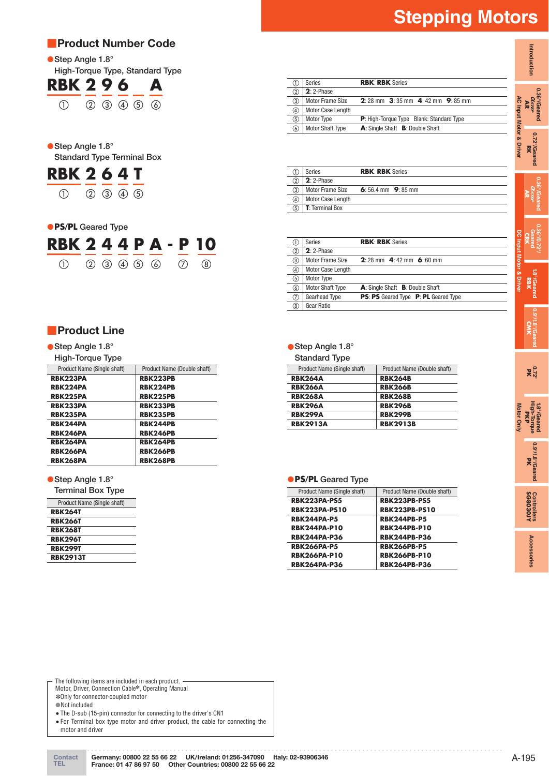# ■**Product Number Code**

●**Step Angle 1.8**°

#### **High-Torque Type, Standard Type RBK 9 0 4 B**

| KBK 490 A                           |  |  |  |
|-------------------------------------|--|--|--|
| $(1)$ $(2)$ $(3)$ $(4)$ $(5)$ $(6)$ |  |  |  |

# ●**Step Angle 1.8° Standard Type Terminal Box**



# ●**PS/PL Geared Type**

| <b>RBK 244 P A - P 10</b>                       |  |  |  |  |
|-------------------------------------------------|--|--|--|--|
| $(1)$ $(2)$ $(3)$ $(4)$ $(5)$ $(6)$ $(7)$ $(8)$ |  |  |  |  |

# ■**Product Line**

 ●**Step Angle 1.8° High-Torque Type**

| <b>HIGH-TORGE TYPE</b>      |                             |
|-----------------------------|-----------------------------|
| Product Name (Single shaft) | Product Name (Double shaft) |
| <b>RBK223PA</b>             | <b>RBK223PB</b>             |
| <b>RBK224PA</b>             | <b>RBK224PB</b>             |
| <b>RBK225PA</b>             | <b>RBK225PB</b>             |
| <b>RBK233PA</b>             | <b>RBK233PB</b>             |
| <b>RBK235PA</b>             | <b>RBK235PB</b>             |
| RBK244PA                    | <b>RBK244PB</b>             |
| RBK246PA                    | <b>RBK246PB</b>             |
| <b>RBK264PA</b>             | <b>RBK264PB</b>             |
| <b>RBK266PA</b>             | <b>RBK266PB</b>             |
| <b>RBK268PA</b>             | <b>RBK268PB</b>             |

# ●**Step Angle 1.8°**

| <b>Terminal Box Type</b>    |  |  |  |  |  |
|-----------------------------|--|--|--|--|--|
| Product Name (Single shaft) |  |  |  |  |  |
| <b>RBK264T</b>              |  |  |  |  |  |
| <b>RBK266T</b>              |  |  |  |  |  |
| <b>RBK268T</b>              |  |  |  |  |  |
| <b>RBK296T</b>              |  |  |  |  |  |
| <b>RBK299T</b>              |  |  |  |  |  |
| <b>RBK2913T</b>             |  |  |  |  |  |

#### ① Series **RBK**: **RBK** Series ② **2**: 2-Phase ③ Motor Frame Size **2**: 28 mm **3**: 35 mm **4**: 42 mm **9**: 85 mm 4 Motor Case Length<br>
5 Motor Type ⑤ Motor Type **P**: High-Torque Type Blank: Standard Type ⑥ Motor Shaft Type **A**: Single Shaft **B**: Double Shaft

|     | Series                  | <b>RBK: RBK Series</b> |
|-----|-------------------------|------------------------|
|     | $2:2$ -Phase            |                        |
| 3   | <b>Motor Frame Size</b> | 6:56.4 mm $9:85$ mm    |
| (4) | Motor Case Length       |                        |
| (5) | <b>T</b> : Terminal Box |                        |

|     | Series                  | <b>RBK: RBK Series</b>                      |
|-----|-------------------------|---------------------------------------------|
| ②   | $2:2$ -Phase            |                                             |
| 3   | <b>Motor Frame Size</b> | 2:28 mm 4:42 mm 6:60 mm                     |
| ④   | Motor Case Length       |                                             |
| 5   | Motor Type              |                                             |
| 6   | <b>Motor Shaft Type</b> | A: Single Shaft B: Double Shaft             |
| (7) | Gearhead Type           | <b>PS: PS</b> Geared Type P: PL Geared Type |
| 8   | Gear Ratio              |                                             |

# ●**Step Angle 1.8**°

**Standard Type**

| Product Name (Single shaft) | Product Name (Double shaft) |
|-----------------------------|-----------------------------|
| <b>RBK264A</b>              | <b>RBK264B</b>              |
| <b>RBK266A</b>              | <b>RBK266B</b>              |
| <b>RBK268A</b>              | <b>RBK268B</b>              |
| <b>RBK296A</b>              | <b>RBK296B</b>              |
| <b>RBK299A</b>              | <b>RBK299B</b>              |
| <b>RBK2913A</b>             | <b>RBK2913B</b>             |

# ●**PS/PL Geared Type**

| Product Name (Single shaft) | Product Name (Double shaft) |
|-----------------------------|-----------------------------|
| <b>RBK223PA-PS5</b>         | <b>RBK223PB-PS5</b>         |
| <b>RBK223PA-PS10</b>        | <b>RBK223PB-PS10</b>        |
| <b>RBK244PA-P5</b>          | <b>RBK244PB-P5</b>          |
| <b>RBK244PA-P10</b>         | <b>RBK244PB-P10</b>         |
| <b>RBK244PA-P36</b>         | <b>RBK244PB-P36</b>         |
| <b>RBK266PA-P5</b>          | <b>RBK266PB-P5</b>          |
| <b>RBK266PA-P10</b>         | <b>RBK266PB-P10</b>         |
| <b>RBK264PA-P36</b>         | <b>RBK264PB-P36</b>         |



**Introduction**

Motor, Driver, Connection Cable<sup>\*</sup>, Operating Manual ✽Only for connector-coupled motor The following items are included in each product.

●Not included

 ●The D-sub (15-pin) connector for connecting to the driver's CN1 ●For Terminal box type motor and driver product, the cable for connecting the

motor and driver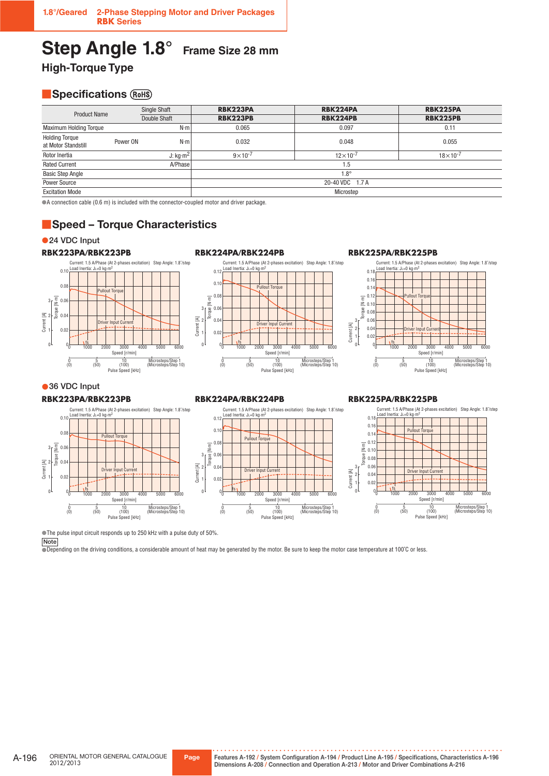# **Step Angle 1.8° Frame Size 28 mm**

**High-Torque Type**

# **B** Specifications (ROHS)

| <b>Product Name</b>                          | <b>Single Shaft</b><br>Double Shaft |                 | RBK223PA           | RBK224PA          | <b>RBK225PA</b>     |
|----------------------------------------------|-------------------------------------|-----------------|--------------------|-------------------|---------------------|
|                                              |                                     |                 | <b>RBK223PB</b>    | <b>RBK224PB</b>   | <b>RBK225PB</b>     |
| <b>Maximum Holding Torque</b>                |                                     | $N \cdot m$     | 0.065              | 0.097             | 0.11                |
| <b>Holding Torque</b><br>at Motor Standstill | Power ON                            | $N \cdot m$     | 0.032              | 0.048             | 0.055               |
| Rotor Inertia                                |                                     | J: $kg·m2$      | $9 \times 10^{-7}$ | $12\times10^{-7}$ | $18 \times 10^{-7}$ |
| <b>Rated Current</b>                         |                                     | A/Phase         |                    | 1.5               |                     |
| <b>Basic Step Angle</b>                      |                                     |                 |                    | $1.8^\circ$       |                     |
| Power Source                                 |                                     | 20-40 VDC 1.7 A |                    |                   |                     |
| <b>Excitation Mode</b>                       |                                     |                 |                    | Microstep         |                     |

●A connection cable (0.6 m) is included with the connector-coupled motor and driver package.

# ■**Speed – Torque Characteristics**

●**24 VDC Input** 





#### **RBK224PA/RBK224PB** Current: 1.5 A/Phase (At 2-phases excitation) Step Angle: 1.8˚/step Load Inertia: JL=0 kg∙m<sup>2</sup>  $0.1$  $0.1$ Pullout Torque  $0.0$ Torque [N-m] Torque [N∙m]  $0.0$ 3  $0.0$ Current [A]<br>Current 2 2 Driver Input Current  $0.0$ fs 0  $\mathbf 0$ 0 1000 2000 Speed [r/min] 3000 6000 4000 5000 0 5 10 Microsteps/Step 1<br>(0) 50 (100) (Microsteps/Step 1 10 (0) (100) (50) (Microsteps/Step 10) Pulse Speed [kHz]

#### **RBK225PA/RBK225PB**



# ● 36 VDC Input

#### **RBK223PA/RBK223PB**



#### **RBK224PA/RBK224PB**



# **RBK225PA/RBK225PB**



●The pulse input circuit responds up to 250 kHz with a pulse duty of 50%.

**Note**

●Depending on the driving conditions, a considerable amount of heat may be generated by the motor. Be sure to keep the motor case temperature at 100℃ or less.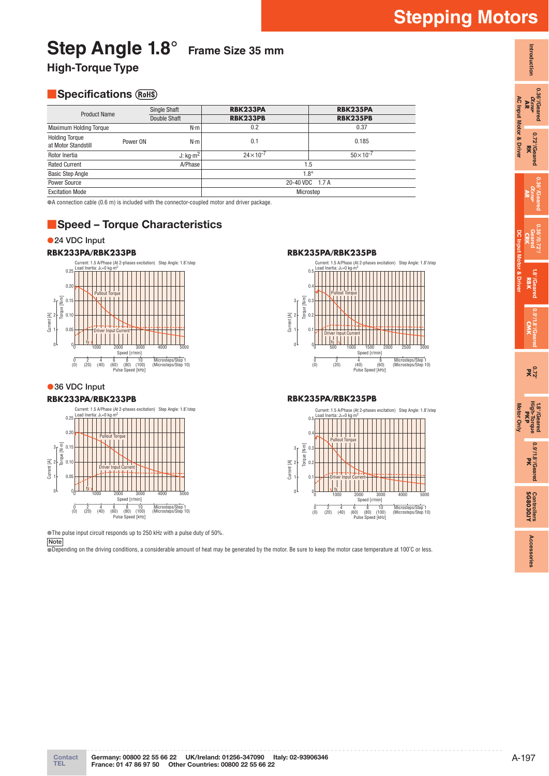# **Step Angle 1.8° Frame Size 35 mm**

**High-Torque Type**

# **B** Specifications (ROHS)

| <b>Product Name</b>                          | <b>Single Shaft</b> |                 | <b>RBK233PA</b>   | <b>RBK235PA</b>     |
|----------------------------------------------|---------------------|-----------------|-------------------|---------------------|
|                                              |                     | Double Shaft    | <b>RBK233PB</b>   | <b>RBK235PB</b>     |
| <b>Maximum Holding Torque</b>                |                     | $N \cdot m$     | 0.2               | 0.37                |
| <b>Holding Torque</b><br>at Motor Standstill | Power ON            | $N \cdot m$     | 0.1               | 0.185               |
| Rotor Inertia                                |                     | J: $kg·m2$      | $24\times10^{-7}$ | $50 \times 10^{-7}$ |
| A/Phase<br><b>Rated Current</b>              |                     | 5.،             |                   |                     |
| <b>Basic Step Angle</b>                      |                     |                 | $1.8^\circ$       |                     |
| Power Source                                 |                     | 20-40 VDC 1.7 A |                   |                     |
| <b>Excitation Mode</b>                       |                     | Microstep       |                   |                     |

●A connection cable (0.6 m) is included with the connector-coupled motor and driver package.

# ■**Speed – Torque Characteristics**

# ●**24 VDC Input**



● 36 VDC Input

# **RBK233PA/RBK233PB**



●The pulse input circuit responds up to 250 kHz with a pulse duty of 50%.

**Note**

●Depending on the driving conditions, a considerable amount of heat may be generated by the motor. Be sure to keep the motor case temperature at 100℃ or less.



# **RBK235PA/RBK235PB**



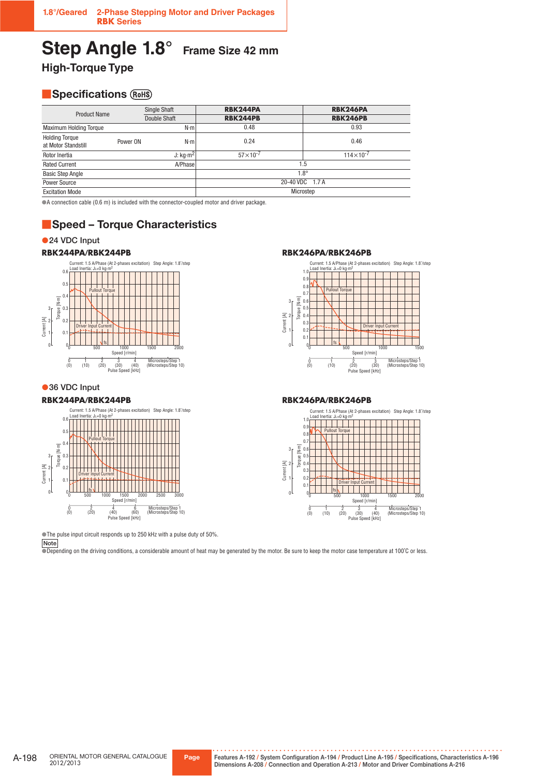# **Step Angle 1.8° Frame Size 42 mm**

**High-Torque Type**

# **B** Specifications (ROHS)

| <b>Product Name</b>                          | Single Shaft |                 | <b>RBK244PA</b>     | <b>RBK246PA</b>    |  |
|----------------------------------------------|--------------|-----------------|---------------------|--------------------|--|
|                                              | Double Shaft |                 | <b>RBK244PB</b>     | <b>RBK246PB</b>    |  |
| <b>Maximum Holding Torque</b>                |              | $N \cdot m$     | 0.48                | 0.93               |  |
| <b>Holding Torque</b><br>at Motor Standstill | Power ON     | $N \cdot m$     | 0.24                | 0.46               |  |
| Rotor Inertia                                |              | J: $kq·m2$      | $57 \times 10^{-7}$ | $114\times10^{-7}$ |  |
| <b>Rated Current</b>                         |              | A/Phase         | 1.5                 |                    |  |
| <b>Basic Step Angle</b>                      |              |                 | $1.8^\circ$         |                    |  |
| <b>Power Source</b>                          |              | 20-40 VDC 1.7 A |                     |                    |  |
| <b>Excitation Mode</b>                       |              |                 |                     | Microstep          |  |

●A connection cable (0.6 m) is included with the connector-coupled motor and driver package.

# ■**Speed – Torque Characteristics**

### ●**24 VDC Input**



●**36 VDC Input** 

#### **RBK244PA/RBK244PB**



**RBK244PA/RBK244PB RBK246PA/RBK246PB**



### **RBK246PA/RBK246PB**



●The pulse input circuit responds up to 250 kHz with a pulse duty of 50%.

**Note**

●Depending on the driving conditions, a considerable amount of heat may be generated by the motor. Be sure to keep the motor case temperature at 100˚C or less.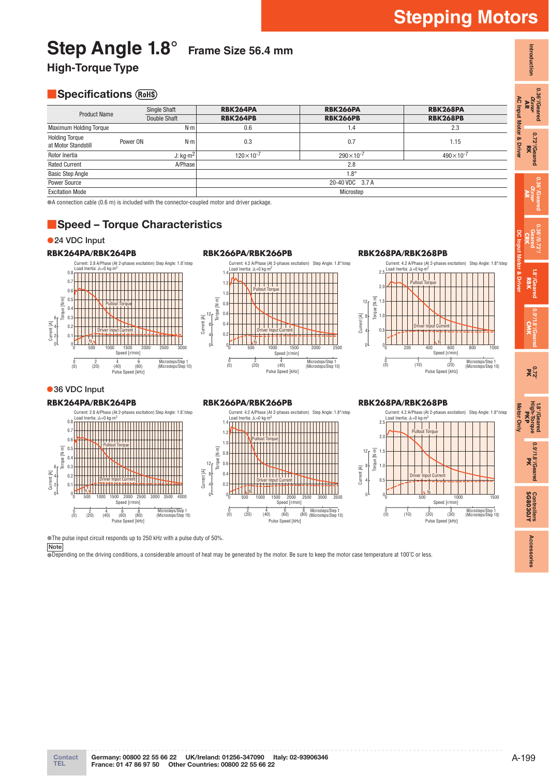**Introduction**

Introduction

**0.36°/Geared**  $\alpha_{\scriptscriptstyle \!X\!I\!I\!I\!I\!I\!I\!I\!I\!I} \over \mathbf{AR}$ 

> **0.72°/Geared** 0.72°/Geared<br>RK

**0.36°/Geared AR**

**0.36°/0.72°/ Geared CRK**

> **1.8°/Geared** 1.8<sup>7</sup>Gear<br>RBK

**DC Input Motor & Driver**

**0.9°/1.8°/Geared CMK**

**0.72° PK**

**1.8°/Geared High-Torque** 1.8<sup>0</sup>/Geared<br>High-Torque<br>**PKP** 

**Motor Only**

Motor Only

**0.9°/1.8°/Geared** 0.9<sup>2</sup>/1.8<sup>2</sup>/Geared

**SG8030JY Controllers**

Controllers<br>**SG8030JY** 

**Accessories**

Accessories

# **Step Angle 1.8° Frame Size 56.4 mm**

**High-Torque Type**

# **B** Specifications (ROHS)

| $\blacksquare$                               |                     |              |                    |                    |                    |  |  |
|----------------------------------------------|---------------------|--------------|--------------------|--------------------|--------------------|--|--|
| <b>Product Name</b>                          | <b>Single Shaft</b> |              | RBK264PA           | <b>RBK266PA</b>    | <b>RBK268PA</b>    |  |  |
|                                              |                     | Double Shaft | <b>RBK264PB</b>    | <b>RBK266PB</b>    | <b>RBK268PB</b>    |  |  |
| <b>Maximum Holding Torque</b>                |                     | $N \cdot m$  | 0.6                | 1.4                | 2.3                |  |  |
| <b>Holding Torque</b><br>at Motor Standstill | Power ON            | $N \cdot m$  | 0.3                | 0.7                | 1.15               |  |  |
| Rotor Inertia                                |                     | J: $kg·m2$   | $120\times10^{-7}$ | $290\times10^{-7}$ | $490\times10^{-7}$ |  |  |
| <b>Rated Current</b>                         |                     | A/Phase      |                    | 2.8                |                    |  |  |
| <b>Basic Step Angle</b>                      |                     |              | $1.8^\circ$        |                    |                    |  |  |
| Power Source                                 |                     |              |                    | 20-40 VDC 3.7 A    |                    |  |  |
| <b>Excitation Mode</b>                       |                     |              |                    | Microstep          |                    |  |  |

●A connection cable (0.6 m) is included with the connector-coupled motor and driver package.

# ■**Speed – Torque Characteristics**

●**24 VDC Input** 

**36 VDC Input**



#### Current: 4.2 A/Phase (At 2-phases excitation) Step Angle: 1.8°/step Load Inertia: JL=0 kg∙m<sup>2</sup> 1.4 1.2 Pullout Torque 1.0  $[1, 0]$ Torque [N·m]  $\mathbf{0}$  $12 \int_{\frac{\pi}{2}}^{\frac{\pi}{2}}$  $\overline{0}$ . Current [A]  $\theta$ . 8 Driver Input Current 4 0.2 fs 0  $0$  500 1000 1500  $\mathfrak{g}$ 1000 2000 Speed [r/min] 2500  $\frac{0}{(0)}$ 2 (0) (20) <sup>4</sup>  $^{4}_{(40)}$ Microsteps/Step 1 (Microsteps/Step 10) Pulse Speed [kHz]

Current: 4.2 A/Phase (At 2-phases excitation) Step Angle: 1.8°/step<br>Load Inertia: J∟=0 kg⋅m<sup>2</sup>

2500

6 (60) <sup>8</sup>

Speed [r/min]

Pulse Speed [kHz]

3000 3500

(80) Microsteps/Step 1 (Microsteps/Step 10)

# **RBK268PA/RBK268PB**



#### Current: 2.8 A/Phase (At 2-phases excitation) Step Angle: 1.8˚/step<br>Load Inertia: J∟=0 kg⋅m<sup>2</sup> 0.8 **IIIIIIIIIIIIIII** 0.7 0.6 Pullout Torque N-m Torque [N·m]  $\theta$ . T ent 0.4 0.3 6 - 호



# **RBK264PA/RBK264PB RBK266PA/RBK266PB**

 $0<sup>1</sup>$  500 1000 1500

fs

 $^{4}_{(40)}$ 

Pullout Torque

1000 2000

Driver Input Current

2 (0) (20) <sup>4</sup>

# **RBK268PA/RBK268PB**



●The pulse input circuit responds up to 250 kHz with a pulse duty of 50%.

**Note**

Current [A]<br>Current 4<br>O

4 2  $\overline{0}$ 0.1

●Depending on the driving conditions, a considerable amount of heat may be generated by the motor. Be sure to keep the motor case temperature at 100˚C or less.

 $\frac{0}{(0)}$ 

 $\overline{0}$ 

 $\overline{0}$  $\overline{0}$ .

0.2

0.8

1.0

1.2

1.4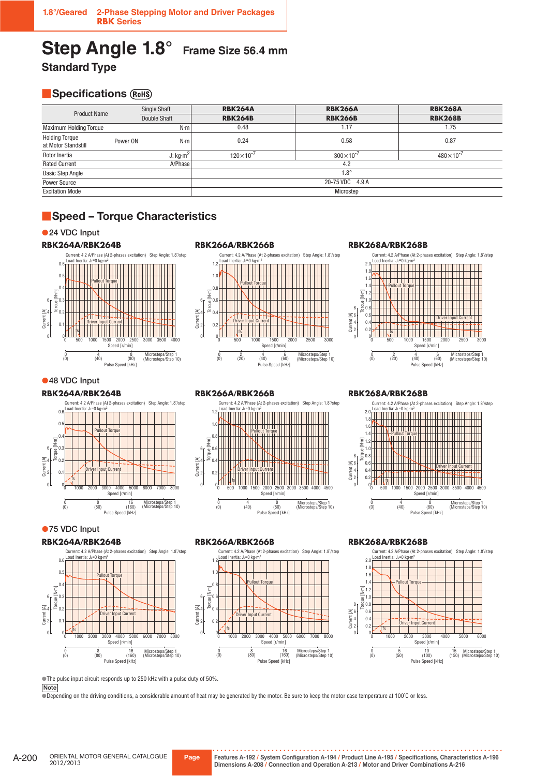# **Step Angle 1.8° Frame Size 56.4 mm Standard Type**

# **B** Specifications (ROHS)

| <b>Product Name</b>                          | <b>Single Shaft</b> |              | <b>RBK264A</b>     | <b>RBK266A</b>     | <b>RBK268A</b>     |
|----------------------------------------------|---------------------|--------------|--------------------|--------------------|--------------------|
|                                              |                     | Double Shaft | <b>RBK264B</b>     | <b>RBK266B</b>     | <b>RBK268B</b>     |
| <b>Maximum Holding Torque</b>                |                     | $N \cdot m$  | 0.48               | 1.17               | 1.75               |
| <b>Holding Torque</b><br>at Motor Standstill | Power ON            | $N \cdot m$  | 0.24               | 0.58               | 0.87               |
| Rotor Inertia                                |                     | J: $kg·m2$   | $120\times10^{-7}$ | $300\times10^{-7}$ | $480\times10^{-7}$ |
| <b>Rated Current</b>                         |                     | A/Phase      |                    | 4.2                |                    |
| <b>Basic Step Angle</b>                      |                     |              |                    | $1.8^\circ$        |                    |
| Power Source                                 |                     |              |                    | 20-75 VDC 4.9 A    |                    |
| <b>Excitation Mode</b>                       |                     |              |                    | Microstep          |                    |



# ●**24 VDC Input**





●**48 VDC Input** 

**RBK264A/RBK264B**



●**75 VDC Input** 

**RBK264A/RBK264B**





#### **RBK268A/RBK268B**



Current: 4.2 A/Phase (At 2-phases excitation) Step Angle: 1.8˚/step Load Inertia: JL=0 kg·m<sup>2</sup> 1.2 1.0 Pullout Torque 0.8 Torque [N·m] 6 0.6 orque Current [A] 4 0.4 Driver Input Current  $\overline{0}$ 2 fs 0  $\mathbf 0$ 



Microsteps/Step 1 (Microsteps/Step 10)



**RBK268A/RBK268B**

Load Inertia: JL=0 kg·m2

2.0 1.8 1.6 1.4 1.2 1.0 0.8



Current: 4.2 A/Phase (At 2-phases excitation) Step Angle: 1.8˚/step

Pullout Torque

#### **RBK266A/RBK266B**

 $\frac{4}{(40)}$ 

 $\begin{matrix} 0 \\ 0 \end{matrix}$ 

**RBK266A/RBK266B**



Pulse Speed [kHz]

 $<sup>8</sup><sub>(80)</sub>$ </sup>

### **RBK268A/RBK268B**



●The pulse input circuit responds up to 250 kHz with a pulse duty of 50%.

**Note**

●Depending on the driving conditions, a considerable amount of heat may be generated by the motor. Be sure to keep the motor case temperature at 100℃ or less.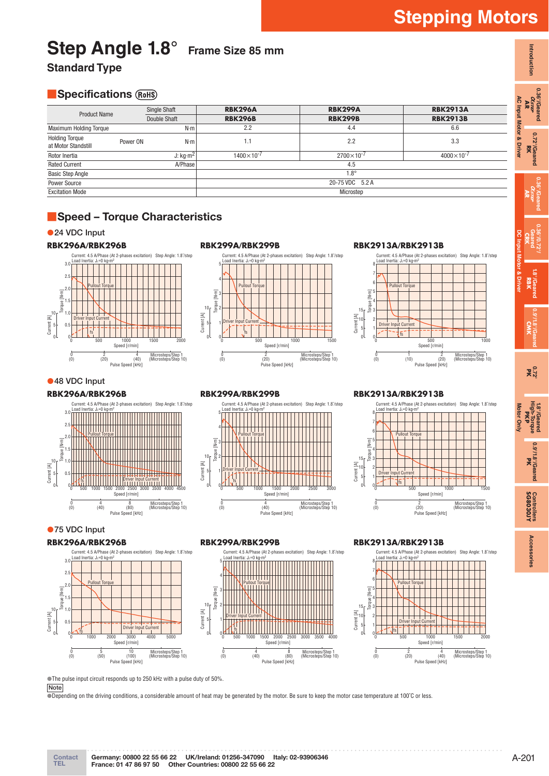# **Contact** A-201 **TEL France: 01 47 86 97 50 Other Countries: 00800 22 55 66 22 Germany: 00800 22 55 66 22 UK/Ireland: 01256-347090 Italy: 02-93906346**

# **Step Angle 1.8° Frame Size 85 mm**

**Standard Type** 

# **B** Specifications (ROHS)

| <b>Product Name</b>                          |          | <b>Single Shaft</b> | <b>RBK296A</b>      | <b>RBK299A</b>      | <b>RBK2913A</b>     |  |
|----------------------------------------------|----------|---------------------|---------------------|---------------------|---------------------|--|
|                                              |          | Double Shaft        | <b>RBK296B</b>      | <b>RBK299B</b>      | <b>RBK2913B</b>     |  |
| <b>Maximum Holding Torque</b>                |          | N·m                 | 2.2                 | 4.4                 | 6.6                 |  |
| <b>Holding Torque</b><br>at Motor Standstill | Power ON | N·m                 | 1.1                 | 2.2                 | 3.3                 |  |
| Rotor Inertia                                |          | J: $kg·m2$          | $1400\times10^{-7}$ | $2700\times10^{-7}$ | $4000\times10^{-7}$ |  |
| <b>Rated Current</b>                         |          | A/Phase             |                     | 4.5                 |                     |  |
| <b>Basic Step Angle</b>                      |          |                     |                     | $1.8^\circ$         |                     |  |
| Power Source                                 |          |                     |                     | 20-75 VDC 5.2 A     |                     |  |
| <b>Excitation Mode</b>                       |          |                     |                     | Microstep           |                     |  |

# ■**Speed – Torque Characteristics**

# ●**24 VDC Input**



# **RBK299A/RBK299B**



### **RBK2913A/RBK2913B**



# ●**48 VDC Input**

### **RBK296A/RBK296B**



# ●**75 VDC Input**

#### **RBK296A/RBK296B**



# **RBK299A/RBK299B**

 $\begin{matrix} 0 \\ 0 \end{matrix}$ 

0

Torque [N·m]

Current [A] 0

10 5

**RBK299A/RBK299B**

Load Inertia: JL=0 kg·m<sup>2</sup>

Driver Input Current fs

Pullout Torque



Pulse Speed [kHz]

0 1000 2000 3000 Speed [r/min] 500 1500 2500

Microsteps/Step 1 (Microsteps/Step 10)

Current: 4.5 A/Phase (At 2-phases excitation) Step Angle: 1.8˚/step

 $\frac{4}{(40)}$ 

# **RBK2913A/RBK2913B**

 $\begin{matrix} 0 \\ 0 \end{matrix}$ 

 $\mathfrak{c}$ 

Torque [N·m]

oral

 $15<sub>5</sub>$ 

5

Load Inertia: JL=0 kg

Driver Input Current fs

Pullout Torque



 $\frac{2}{(20)}$ 

●The pulse input circuit responds up to 250 kHz with a pulse duty of 50%.

**Note**

●Depending on the driving conditions, a considerable amount of heat may be generated by the motor. Be sure to keep the motor case temperature at 100℃ or less.

# **Stepping Motors**

**Introduction**

Introduction

**0.36°/Geared**  $\alpha_{\scriptscriptstyle \!X\!I\!I\!I\!I\!I\!I\!I\!I\!I} \over \mathbf{AR}}$ 

**0.72°/Geared**

**0.36°/Geared**

**0.36°/0.72°/ Geared**

**1.8°/Geared**

**0.9°/1.8°/Geared**

**1.8°/Geared High-Torque**

**0.9°/1.8°/Geared**

**Controllers**

**Accessories**

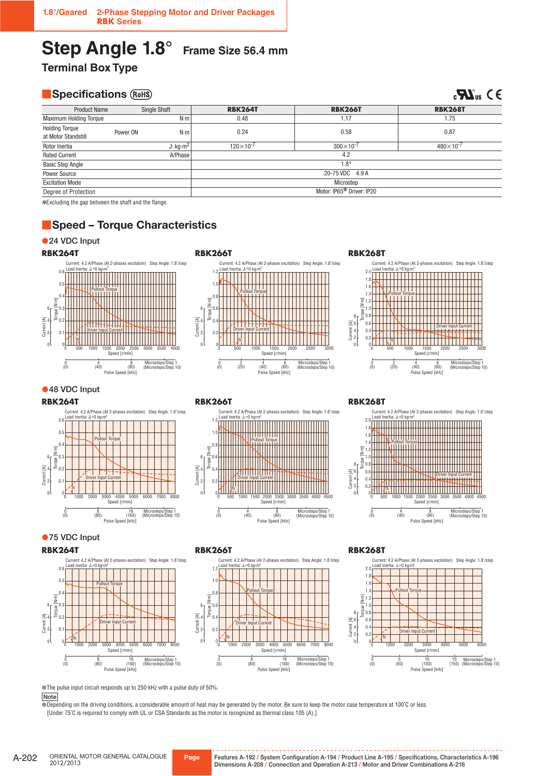# **Step Angle 1.8° Frame Size 56.4 mm**

**Terminal Box Type** 

# **B** Specifications (ROHS)

 $c$ **H**<sub>us</sub>  $C \in$ 

| <b>Product Name</b>                          |          | <b>Single Shaft</b> | <b>RBK264T</b>            | <b>RBK266T</b>     | <b>RBK268T</b>     |  |
|----------------------------------------------|----------|---------------------|---------------------------|--------------------|--------------------|--|
| <b>Maximum Holding Torque</b>                |          | N·m                 | 0.48                      | 1.17               | 1.75               |  |
| <b>Holding Torque</b><br>at Motor Standstill | Power ON | $N \cdot m$         | 0.24                      | 0.58               | 0.87               |  |
| Rotor Inertia                                |          | $J:$ kg $m2$        | $120\times10^{-7}$        | $300\times10^{-7}$ | $480\times10^{-7}$ |  |
| <b>Rated Current</b>                         |          | A/Phase             |                           | 4.2                |                    |  |
| <b>Basic Step Angle</b>                      |          |                     |                           | $1.8^\circ$        |                    |  |
| <b>Power Source</b>                          |          |                     |                           | 20-75 VDC 4.9 A    |                    |  |
| <b>Excitation Mode</b>                       |          |                     | Microstep                 |                    |                    |  |
| Degree of Protection                         |          |                     | Motor: IP65* Driver: IP20 |                    |                    |  |

✽Excluding the gap between the shaft and the flange.

# ■**Speed – Torque Characteristics**

# ●**24 VDC Input**







# ●**48 VDC Input**

#### **RBK264T**



# **RBK266T**



# **RBK268T**



# ●**75 VDC Input**

#### **RBK264T**





### **RBK268T**



●The pulse input circuit responds up to 250 kHz with a pulse duty of 50%.

#### **Note**

**Depending on the driving conditions, a considerable amount of heat may be generated by the motor. Be sure to keep the motor case temperature at 100°C or less.** [Under 75˚C is required to comply with UL or CSA Standards as the motor is recognized as thermal class 105 (A).]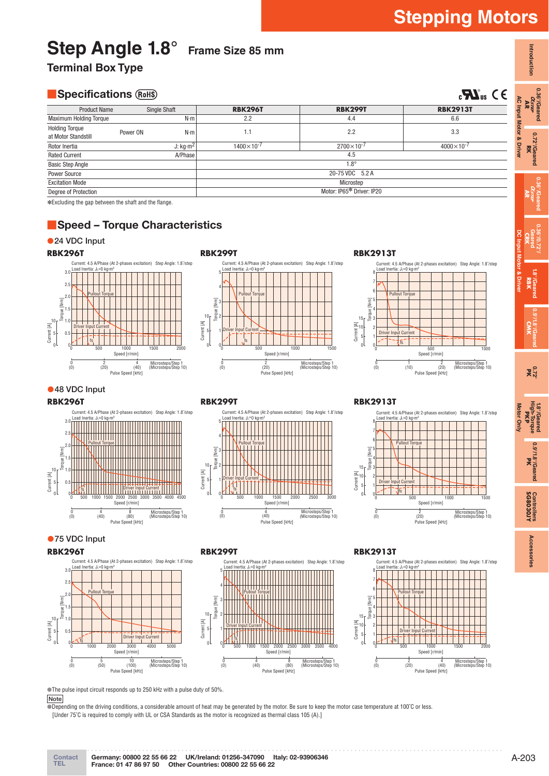**Introduction**

Introduction

**0.36°/Geared** 0.36°/Geared<br>*AR<br>AR* 

**0.72°/Geared** 0.72°/Geared<br>**RK** 

**AC Input Motor & Driver**

**AC Input Motor & Driv** 

**0.36°/Geared AR**

**0.36°/0.72°/ Geared CRK**

**1.8°/Geared** 1.8<sup>°</sup>/Geared<br>**RBK** 

**DC Input Motor & Driver**

**0.9°/1.8°/Geared CMK**

**0.72° PK**

**1.8°/Geared High-Torque** 1.8<sup>0</sup>/Geared<br>High-Torque<br>**PKP** 

**Motor Only**

Motor Only

**0.9°/1.8°/Geared** 0.9<sup>2</sup>/1.8<sup>2</sup>/Geared

# Step Angle 1.8° Frame Size 85 mm

**Terminal Box Type** 

# **B** Specifications (ROHS)

| <b>Specifications (RoHS)</b><br>$_{c}$ $\boldsymbol{\mathcal{H}}$ <sub>us</sub> $\in$ $\in$ |          |              |                     |                           |                     |
|---------------------------------------------------------------------------------------------|----------|--------------|---------------------|---------------------------|---------------------|
| <b>Product Name</b>                                                                         |          | Single Shaft | <b>RBK296T</b>      | <b>RBK299T</b>            | <b>RBK2913T</b>     |
| <b>Maximum Holding Torque</b>                                                               |          | $N \cdot m$  | 2.2                 | 4.4                       | 6.6                 |
| <b>Holding Torque</b><br>at Motor Standstill                                                | Power ON | $N \cdot m$  | 1.1                 | 2.2                       | 3.3                 |
| Rotor Inertia                                                                               |          | J: $kg·m2$   | $1400\times10^{-7}$ | $2700\times10^{-7}$       | $4000\times10^{-7}$ |
| <b>Rated Current</b>                                                                        |          | A/Phase      |                     | 4.5                       |                     |
| <b>Basic Step Angle</b>                                                                     |          |              |                     | $1.8^\circ$               |                     |
| <b>Power Source</b>                                                                         |          |              |                     | 20-75 VDC 5.2 A           |                     |
| <b>Excitation Mode</b>                                                                      |          |              |                     | Microstep                 |                     |
| Degree of Protection                                                                        |          |              |                     | Motor: IP65* Driver: IP20 |                     |

✽Excluding the gap between the shaft and the flange.

# ■**Speed – Torque Characteristics**

# ●**24 VDC Input**





# **RBK2913T**



# ●**48 VDC Input**

#### **RBK296T**



# **RBK299T**



# **RBK2913T**



### ●**75 VDC Input**

#### **RBK296T**





# **RBK2913T**



●The pulse input circuit responds up to 250 kHz with a pulse duty of 50%.

# **Note**

●Depending on the driving conditions, a considerable amount of heat may be generated by the motor. Be sure to keep the motor case temperature at 100˚C or less. [Under 75˚C is required to comply with UL or CSA Standards as the motor is recognized as thermal class 105 (A).]

Controllers<br>**SG8030JY SG8030JY Controllers** Accessories **Accessories**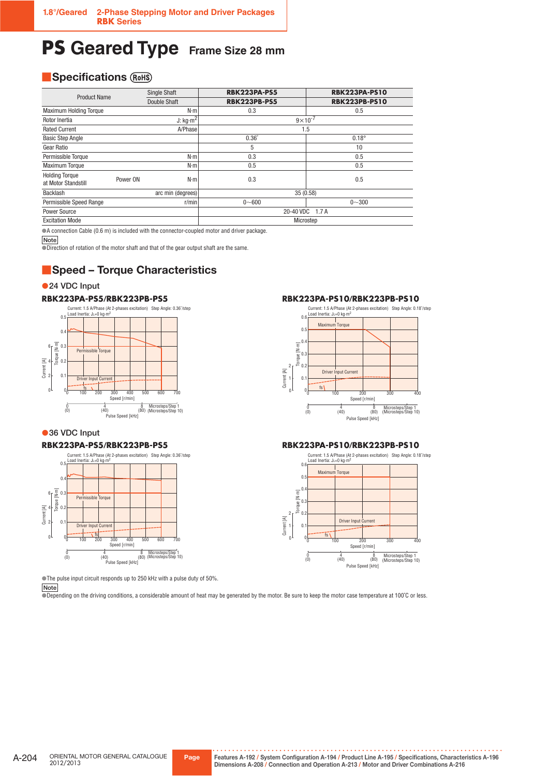# **PS** Geared Type Frame Size 28 mm

# **B** Specifications  $(RoHS)$

| <b>Product Name</b>                          |          | <b>Single Shaft</b> | <b>RBK223PA-PS5</b> | <b>RBK223PA-PS10</b> |  |
|----------------------------------------------|----------|---------------------|---------------------|----------------------|--|
|                                              |          | Double Shaft        | <b>RBK223PB-PS5</b> | <b>RBK223PB-PS10</b> |  |
| <b>Maximum Holding Torque</b>                |          | $N \cdot m$         | 0.3                 | 0.5                  |  |
| Rotor Inertia                                |          | J: $kg·m^2$         | $9 \times 10^{-7}$  |                      |  |
| <b>Rated Current</b>                         |          | <b>A/Phase</b>      |                     | 1.5                  |  |
| <b>Basic Step Angle</b>                      |          |                     | $0.36^\circ$        | $0.18^\circ$         |  |
| Gear Ratio                                   |          |                     | 5                   | 10                   |  |
| Permissible Torque                           |          | $N \cdot m$         | 0.3                 | 0.5                  |  |
| <b>Maximum Torque</b>                        |          | $N \cdot m$         | 0.5                 | 0.5                  |  |
| <b>Holding Torque</b><br>at Motor Standstill | Power ON | $N \cdot m$         | 0.3                 | 0.5                  |  |
| Backlash<br>arc min (degrees)                |          | 35 (0.58)           |                     |                      |  |
| Permissible Speed Range                      |          | r/min               | $0 - 600$           | $0 - 300$            |  |
| <b>Power Source</b>                          |          |                     | 20-40 VDC<br>1.7A   |                      |  |
| <b>Excitation Mode</b>                       |          |                     | Microstep           |                      |  |

●A connection Cable (0.6 m) is included with the connector-coupled motor and driver package.

**Note**

●Direction of rotation of the motor shaft and that of the gear output shaft are the same.

# ■**Speed – Torque Characteristics**

### ●**24 VDC Input**

# **RBK223PA-PS5/RBK223PB-PS5**



# ●**36 VDC Input**

### **RBK223PA-PS5/RBK223PB-PS5**



●The pulse input circuit responds up to 250 kHz with a pulse duty of 50%.

**Note**

●Depending on the driving conditions, a considerable amount of heat may be generated by the motor. Be sure to keep the motor case temperature at 100˚C or less.

### **RBK223PA-PS10/RBK223PB-PS10**



#### **RBK223PA-PS10/RBK223PB-PS10**

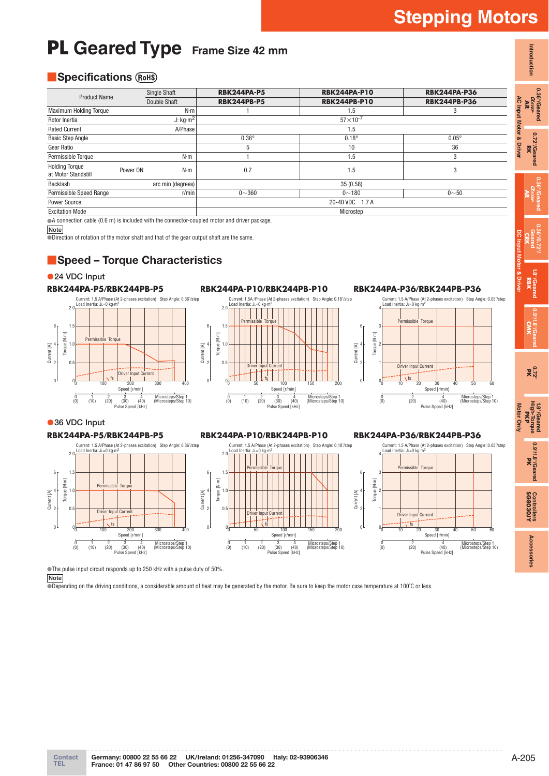**Introduction**

Introduction

**0.36°/Geared** 0.36°/Geared<br>*Asree*<br>**AR** 

> **0.72°/Geared** 0.72°/Geared<br>RK

**0.36°/Geared AR**

**0.36°/0.72°/ Geared CRK**

**1.8°/Geared** 1.8°/Geared<br>**RBK** 

**DC Input Motor & Driver**

**0.9°/1.8°/Geared CMK**

**0.72° PK**

**1.8°/Geared**

# **PL** Geared Type Frame Size 42 mm

# **B** Specifications  $(\overline{R_0HS})$

| <b>Product Name</b>                          | <b>Single Shaft</b>           | <b>RBK244PA-P5</b> | <b>RBK244PA-P10</b> | <b>RBK244PA-P36</b> |
|----------------------------------------------|-------------------------------|--------------------|---------------------|---------------------|
|                                              | Double Shaft                  | <b>RBK244PB-P5</b> | <b>RBK244PB-P10</b> | <b>RBK244PB-P36</b> |
| <b>Maximum Holding Torque</b>                | $N \cdot m$                   |                    | 1.5                 | 3                   |
| Rotor Inertia                                | J: $\text{kg}\cdot\text{m}^2$ |                    | $57 \times 10^{-7}$ |                     |
| <b>Rated Current</b>                         | A/Phase                       |                    | 1.5                 |                     |
| <b>Basic Step Angle</b>                      |                               | $0.36^\circ$       | $0.18^\circ$        | $0.05^\circ$        |
| Gear Ratio                                   |                               | 5                  | 10                  | 36                  |
| Permissible Torque                           | $N \cdot m$                   |                    | 1.5                 | 3                   |
| <b>Holding Torque</b><br>at Motor Standstill | Power ON<br>$N \cdot m$       | 0.7                | 1.5                 | 3                   |
| Backlash                                     | arc min (degrees)             |                    | 35(0.58)            |                     |
| Permissible Speed Range                      | r/min                         | $0 - 360$          | $0 - 180$           | $0 - 50$            |
| Power Source                                 |                               |                    | 20-40 VDC 1.7 A     |                     |
| <b>Excitation Mode</b>                       |                               |                    | Microstep           |                     |

●A connection cable (0.6 m) is included with the connector-coupled motor and driver package.

**Note**

Direction of rotation of the motor shaft and that of the gear output shaft are the same.

# ■**Speed – Torque Characteristics**

●**24 VDC Input** 



**RBK244PA-P10/RBK244PB-P10**



# **RBK244PA-P36/RBK244PB-P36**







0.9'/1.8'/Geared **0.9°/1.8°/Geared** Controllers<br>**SG8030JY SG8030JY Controllers** Accessories **Accessories**

●**36 VDC Input RBK244PA-P5/RBK244PB-P5**

#### **RBK244PA-P10/RBK244PB-P10**

Current: 1.5 A/Phase (At 2-phases excitation) Step Angle: 0.18˚/step

# **RBK244PA-P36/RBK244PB-P36**

Current: 1.5 A/Phase (At 2-phases excitation) Step Angle: 0.36˚/step Current: 1.5 A/Phase (At 2-phases excitation) Step Angle: 0.05˚/step Load Inertia: J∟=0 kg· Load Inertia: J∟=0 k Load Inertia: J∟=0 kg⋅r  $2.0$  $2.0$ 4 ا<br>Permissible Torque Permissible Torque 1.5 1.5 6 6 6 3 Torque [N-m] Torque [N-m] Torque [N∙m] Torque [N-m] Torque [N∙m] Torque [N∙m] To<sub>r</sub> 1.0 4 Current [A] 4 1.0 4 2 Current [A]<br>2<br>2 Current [A]<br>Current e  $\overline{0}$  $\overline{0}$ 2 1 Driver Input Current Driver Input Current ver Input Current  $\overline{t}$ fs fs  $\overline{0}$ 0  $\mathbf 0$  $\mathfrak c$ 100 200 300 400 0 50 100 Speed [r/min] 150 200  $\mathfrak{c}$ 10 30 50 20 40 60 Speed [r/min] Speed [r/  $rac{3}{(30)}$  $rac{3}{(30)}$  $\frac{1}{(0)}$   $\frac{2}{(20)}$  $\frac{4}{(40)}$ 0 1 (0) (20) (10) <sup>3</sup> Microsteps/Step 1 (Microsteps/Step 10) 0 1 2 3<br>(0) (10) (20) (3) (40) Microsteps/Step 1 (Microsteps/Step 10) Microsteps/Step 1 (Microsteps/Step 10)  $(20)$  $(20)$  $\frac{4}{(40)}$  $(40)$ Pulse Speed [kHz] (0) (40) (20) Pulse Speed [kHz] Pulse Speed [kHz]

●The pulse input circuit responds up to 250 kHz with a pulse duty of 50%.

**Note**

●Depending on the driving conditions, a considerable amount of heat may be generated by the motor. Be sure to keep the motor case temperature at 100˚C or less.

**Contact**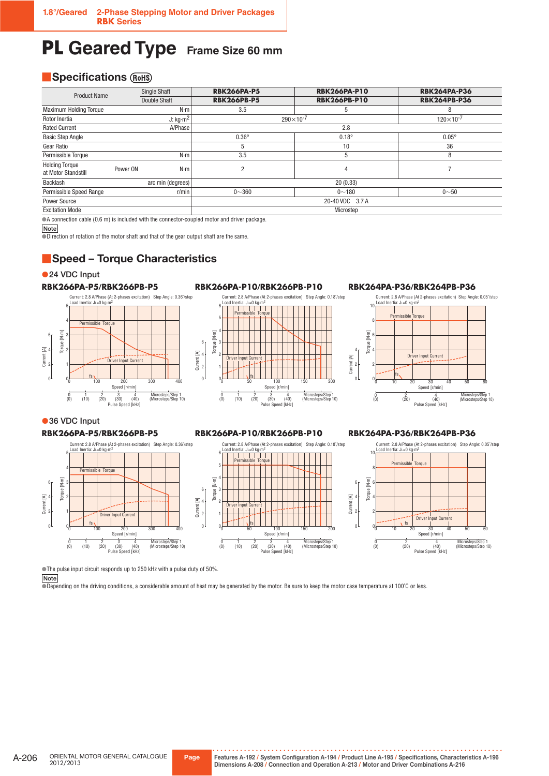# **PL Geared Type** Frame Size 60 mm

# **BISPECIFICATIONS** (ROHS)

| <b>Product Name</b>                          | <b>Single Shaft</b>           | <b>RBK266PA-P5</b> | <b>RBK266PA-P10</b>  | <b>RBK264PA-P36</b> |
|----------------------------------------------|-------------------------------|--------------------|----------------------|---------------------|
|                                              | <b>Double Shaft</b>           | <b>RBK266PB-P5</b> | <b>RBK266PB-P10</b>  | <b>RBK264PB-P36</b> |
| <b>Maximum Holding Torque</b>                | $N \cdot m$                   | 3.5                | 5                    | 8                   |
| Rotor Inertia                                | J: $\text{kg}\cdot\text{m}^2$ |                    | $290 \times 10^{-7}$ | $120\times10^{-7}$  |
| <b>Rated Current</b>                         | A/Phase                       |                    | 2.8                  |                     |
| <b>Basic Step Angle</b>                      |                               | $0.36^\circ$       | $0.18^\circ$         | $0.05^{\circ}$      |
| Gear Ratio                                   |                               | 5                  | 10                   | 36                  |
| Permissible Torque                           | $N \cdot m$                   | 3.5                | 5                    | 8                   |
| <b>Holding Torque</b><br>at Motor Standstill | $N \cdot m$<br>Power ON       | $\overline{2}$     | 4                    |                     |
| Backlash                                     | arc min (degrees)             |                    | 20(0.33)             |                     |
| Permissible Speed Range                      | r/min                         | $0 - 360$          | $0 - 180$            | $0 - 50$            |
| Power Source                                 |                               |                    | 20-40 VDC 3.7 A      |                     |
| <b>Excitation Mode</b>                       |                               |                    | Microstep            |                     |

●A connection cable (0.6 m) is included with the connector-coupled motor and driver package.

**Note**

●Direction of rotation of the motor shaft and that of the gear output shaft are the same.

# ■**Speed – Torque Characteristics**

●**24 VDC Input** 



# **RBK266PA-P10/RBK266PB-P10**



### **RBK264PA-P36/RBK264PB-P36**



# ●**36 VDC Input**

5

4

Torque [N∙m]

Torque [N-m]

Current [A]

0 2

6 4

0 1 2

0

# **RBK266PA-P5/RBK266PB-P5** Load Inertia: JL=0 kg∙m<sup>2</sup>

Permissible Torque

0 1 (0) (20) (10) <sup>3</sup>

fs

 $(20)$ 

#### **RBK266PA-P10/RBK266PB-P10**

#### nviilast<br>· I∟⊒∩ ke 6 ا کا گا کا کا ل Permissible Torque 5 4 Torque [N-m] Torque [N∙m] 6 3 Current [A]<br>2<br>2<br>2 4 2 Driver Input Current 1 fs 0  $\mathbf 0$ 0 50 100 150 200 Speed [r/min] 0 1 2 3<br>(0) (10) (20) (3)  $\frac{3}{(30)}$  $\frac{4}{(40)}$ Microsteps/Step 1 (Microsteps/Step 10)  $\frac{2}{(20)}$ Pulse Speed [kHz]

Current: 2.8 A/Phase (At 2-phases excitation) Step Angle: 0.18˚/step

#### **RBK264PA-P36/RBK264PB-P36**

Current: 2.8 A/Phase (At 2-phases excitation) Step Angle: 0.05˚/step



●The pulse input circuit responds up to 250 kHz with a pulse duty of 50%.

 $\frac{4}{(40)}$ 

Pulse Speed [kHz]

 $\frac{3}{(30)}$ 

Driver Input Current

 $\frac{1}{200}$ Speed [r/min]

Current: 2.8 A/Phase (At 2-phases excitation) Step Angle: 0.36<sup>\*</sup>/step<br>Load Inertia:  $\ln -0$  kg m<sup>2</sup>

 $\overline{300}$ 

Microsteps/Step 1 (Microsteps/Step 10)

**Note**

●Depending on the driving conditions, a considerable amount of heat may be generated by the motor. Be sure to keep the motor case temperature at 100℃ or less.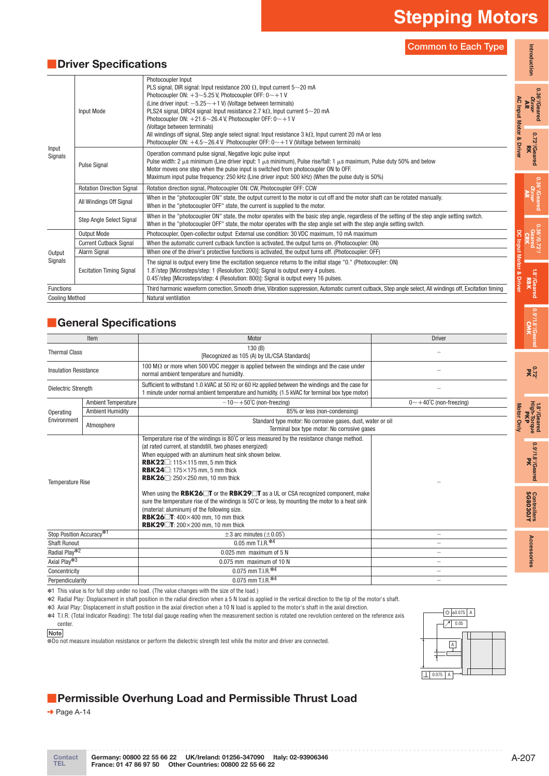**0.36°/Geared**

**0.36°/Geared**

 $\alpha_{\rm 36'Geared}$ 

**0.36°/0.72°/ Geared**

**0.9°/1.8°/Geared CMK**

**0.72° PK**

**1.8°/Geared High-Torque** 1.8<sup>0</sup>/Geared<br>High-Torque<br>**PKP** 

**Motor Only**

Motor Only

**0.9°/1.8°/Geared** 0.9'/1.8'/Geared

**SG8030JY Controllers**

Controllers<br>**SG8030JY** 

**Accessories**

Accessories

**Common to Each Type**

# ■**Driver Specifications**

|                       |                                  | <b>Common to Each Type</b>                                                                                                                                                                                                                                                                                                                                                                                                                                                                                                                                                                                                                                      |                       |  |
|-----------------------|----------------------------------|-----------------------------------------------------------------------------------------------------------------------------------------------------------------------------------------------------------------------------------------------------------------------------------------------------------------------------------------------------------------------------------------------------------------------------------------------------------------------------------------------------------------------------------------------------------------------------------------------------------------------------------------------------------------|-----------------------|--|
|                       | <b>Driver Specifications</b>     |                                                                                                                                                                                                                                                                                                                                                                                                                                                                                                                                                                                                                                                                 | Introduction          |  |
| Input<br>Signals      | Input Mode                       | Photocoupler Input<br>PLS signal, DIR signal: Input resistance 200 $\Omega$ , Input current 5~20 mA<br>Photocoupler ON: $+3$ ~5.25 V, Photocoupler OFF: $0$ ~+1 V<br>(Line driver input: $-5.25 \sim +1$ V) (Voltage between terminals)<br>PLS24 signal, DIR24 signal: Input resistance 2.7 k $\Omega$ , Input current 5~20 mA<br>Photocoupler ON: $+21.6{\sim}26.4$ V, Photocoupler OFF: $0{\sim}+1$ V<br>(Voltage between terminals)<br>All windings off signal, Step angle select signal: Input resistance $3 \text{ k}\Omega$ , Input current 20 mA or less<br>Photocoupler ON: $+4.5$ ~ 26.4 V Photocoupler OFF: $0 \sim +1$ V (Voltage between terminals) |                       |  |
|                       | <b>Pulse Signal</b>              | Operation command pulse signal, Negative logic pulse input<br>Pulse width: 2 $\mu$ s minimum (Line driver input: 1 $\mu$ s minimum), Pulse rise/fall: 1 $\mu$ s maximum, Pulse duty 50% and below<br>Motor moves one step when the pulse input is switched from photocoupler ON to OFF.<br>Maximum input pulse frequency: 250 kHz (Line driver input: 500 kHz) (When the pulse duty is 50%)                                                                                                                                                                                                                                                                     |                       |  |
|                       | <b>Rotation Direction Signal</b> | Rotation direction signal, Photocoupler ON: CW, Photocoupler OFF: CCW                                                                                                                                                                                                                                                                                                                                                                                                                                                                                                                                                                                           |                       |  |
|                       | All Windings Off Signal          | When in the "photocoupler ON" state, the output current to the motor is cut off and the motor shaft can be rotated manually.<br>When in the "photocoupler OFF" state, the current is supplied to the motor.                                                                                                                                                                                                                                                                                                                                                                                                                                                     |                       |  |
|                       | <b>Step Angle Select Signal</b>  | When in the "photocoupler ON" state, the motor operates with the basic step angle, regardless of the setting of the step angle setting switch.<br>When in the "photocoupler OFF" state, the motor operates with the step angle set with the step angle setting switch.                                                                                                                                                                                                                                                                                                                                                                                          |                       |  |
|                       | <b>Output Mode</b>               | Photocoupler, Open-collector output External use condition: 30 VDC maximum, 10 mA maximum                                                                                                                                                                                                                                                                                                                                                                                                                                                                                                                                                                       |                       |  |
|                       | <b>Current Cutback Signal</b>    | When the automatic current cutback function is activated, the output turns on. (Photocoupler: ON)                                                                                                                                                                                                                                                                                                                                                                                                                                                                                                                                                               |                       |  |
| Output                | Alarm Signal                     | When one of the driver's protective functions is activated, the output turns off. (Photocoupler: OFF)                                                                                                                                                                                                                                                                                                                                                                                                                                                                                                                                                           |                       |  |
| Signals               | <b>Excitation Timing Signal</b>  | The signal is output every time the excitation sequence returns to the initial stage "0." (Photocoupler: ON)<br>1.8°/step [Microsteps/step: 1 (Resolution: 200)]: Signal is output every 4 pulses.<br>0.45°/step [Microsteps/step: 4 (Resolution: 800)]: Signal is output every 16 pulses.                                                                                                                                                                                                                                                                                                                                                                      | put Motor<br>1.8°/Gea |  |
| Functions             |                                  | Third harmonic waveform correction, Smooth drive, Vibration suppression, Automatic current cutback, Step angle select, All windings off, Excitation timing                                                                                                                                                                                                                                                                                                                                                                                                                                                                                                      | Driver                |  |
| <b>Cooling Method</b> |                                  | Natural ventilation                                                                                                                                                                                                                                                                                                                                                                                                                                                                                                                                                                                                                                             |                       |  |

# ■**General Specifications**

|                                      | Item                       | Motor                                                                                                                                                                                                                                                                                                                                                                                                                                                                                                                                                                                                                                                                                                                            | <b>Driver</b>                         |  |
|--------------------------------------|----------------------------|----------------------------------------------------------------------------------------------------------------------------------------------------------------------------------------------------------------------------------------------------------------------------------------------------------------------------------------------------------------------------------------------------------------------------------------------------------------------------------------------------------------------------------------------------------------------------------------------------------------------------------------------------------------------------------------------------------------------------------|---------------------------------------|--|
| <b>Thermal Class</b>                 |                            | 130(B)<br>[Recognized as 105 (A) by UL/CSA Standards]                                                                                                                                                                                                                                                                                                                                                                                                                                                                                                                                                                                                                                                                            |                                       |  |
| <b>Insulation Resistance</b>         |                            | 100 M $\Omega$ or more when 500 VDC megger is applied between the windings and the case under<br>normal ambient temperature and humidity.                                                                                                                                                                                                                                                                                                                                                                                                                                                                                                                                                                                        |                                       |  |
| <b>Dielectric Strength</b>           |                            | Sufficient to withstand 1.0 kVAC at 50 Hz or 60 Hz applied between the windings and the case for<br>1 minute under normal ambient temperature and humidity. (1.5 kVAC for terminal box type motor)                                                                                                                                                                                                                                                                                                                                                                                                                                                                                                                               |                                       |  |
|                                      | <b>Ambient Temperature</b> | $-10$ ~ +50°C (non-freezing)                                                                                                                                                                                                                                                                                                                                                                                                                                                                                                                                                                                                                                                                                                     | $0 \sim +40^{\circ}$ C (non-freezing) |  |
| Operating                            | <b>Ambient Humidity</b>    | 85% or less (non-condensing)                                                                                                                                                                                                                                                                                                                                                                                                                                                                                                                                                                                                                                                                                                     |                                       |  |
| Environment                          | Atmosphere                 | Standard type motor: No corrosive gases, dust, water or oil<br>Terminal box type motor: No corrosive gases                                                                                                                                                                                                                                                                                                                                                                                                                                                                                                                                                                                                                       |                                       |  |
| <b>Temperature Rise</b>              |                            | Temperature rise of the windings is 80°C or less measured by the resistance change method.<br>(at rated current, at standstill, two phases energized)<br>When equipped with an aluminum heat sink shown below.<br>RBK22 $\Box$ : 115 $\times$ 115 mm, 5 mm thick<br>RBK24 $\Box$ : 175 $\times$ 175 mm. 5 mm thick<br>RBK26 $\Box$ : 250×250 mm, 10 mm thick<br>When using the RBK26 $\square$ T or the RBK29 $\square$ T as a UL or CSA recognized component, make<br>sure the temperature rise of the windings is $50^{\circ}$ C or less, by mounting the motor to a heat sink<br>(material: aluminum) of the following size.<br>RBK26 $T: 400 \times 400$ mm. 10 mm thick<br>RBK29 $\Box$ T: 200 $\times$ 200 mm, 10 mm thick |                                       |  |
| Stop Position Accuracy <sup>*1</sup> |                            | $\pm$ 3 arc minutes ( $\pm$ 0.05°)                                                                                                                                                                                                                                                                                                                                                                                                                                                                                                                                                                                                                                                                                               |                                       |  |
| <b>Shaft Runout</b>                  |                            | 0.05 mm T.I.R.*4                                                                                                                                                                                                                                                                                                                                                                                                                                                                                                                                                                                                                                                                                                                 |                                       |  |
| Radial Play* <sup>2</sup>            |                            | 0.025 mm maximum of 5 N                                                                                                                                                                                                                                                                                                                                                                                                                                                                                                                                                                                                                                                                                                          | $\equiv$                              |  |
| Axial Play*3                         |                            | 0.075 mm maximum of 10 N                                                                                                                                                                                                                                                                                                                                                                                                                                                                                                                                                                                                                                                                                                         | $\overline{\phantom{a}}$              |  |
| Concentricity                        |                            | 0.075 mm T.I.R.*4                                                                                                                                                                                                                                                                                                                                                                                                                                                                                                                                                                                                                                                                                                                | $\equiv$                              |  |
| Perpendicularity                     |                            | $0.075$ mm T.I.R. $*4$                                                                                                                                                                                                                                                                                                                                                                                                                                                                                                                                                                                                                                                                                                           |                                       |  |

✽1 This value is for full step under no load. (The value changes with the size of the load.)

✽2 Radial Play: Displacement in shaft position in the radial direction when a 5 N load is applied in the vertical direction to the tip of the motor's shaft.

✽3 Axial Play: Displacement in shaft position in the axial direction when a 10 N load is applied to the motor's shaft in the axial direction.

✽4 T.I.R. (Total Indicator Reading): The total dial gauge reading when the measurement section is rotated one revolution centered on the reference axis center.

#### **Note**

OD not measure insulation resistance or perform the dielectric strength test while the motor and driver are connected.

# **• Permissible Overhung Load and Permissible Thrust Load**

 $\rightarrow$  Page A-14

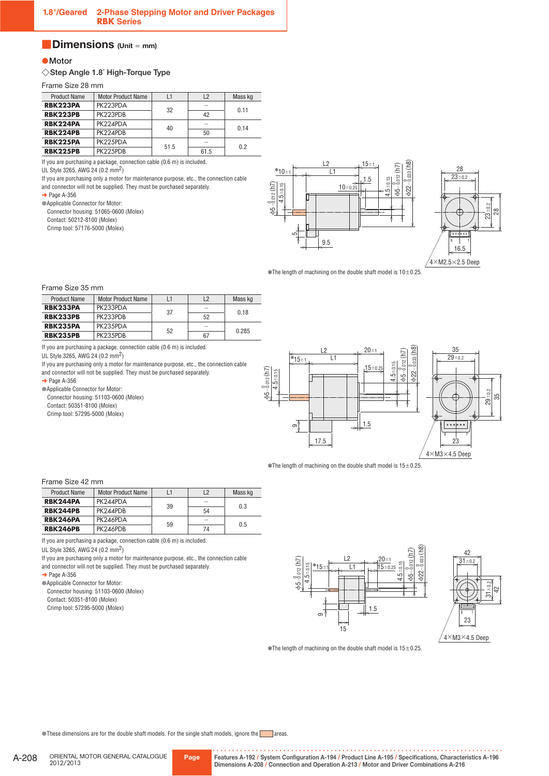# ■**Dimensions (Unit** <sup>=</sup> **mm)**

# ●**Motor**

#### ◇**Step Angle 1.8˚ High-Torque Type**

Frame Size 28 mm

| <b>Product Name</b> | <b>Motor Product Name</b> |      | L2   | Mass kg |
|---------------------|---------------------------|------|------|---------|
| RBK223PA            | PK223PDA                  | 32   |      | 0.11    |
| <b>RBK223PB</b>     | PK223PDB                  |      | 42   |         |
| RBK224PA            | PK224PDA                  |      |      | 0.14    |
| <b>RBK224PB</b>     | PK224PDB                  | 40   | 50   |         |
| <b>RBK225PA</b>     | PK225PDA                  | 51.5 |      | 02      |
| <b>RBK225PB</b>     | PK225PDB                  |      | 61.5 |         |

If you are purchasing a package, connection cable (0.6 m) is included.

UL Style 3265, AWG 24 (0.2 mm2)

If you are purchasing only a motor for maintenance purpose, etc., the connection cable and connector will not be supplied. They must be purchased separately.

 $\rightarrow$  Page A-356

●Applicable Connector for Motor:

Connector housing: 51065-0600 (Molex)

Contact: 50212-8100 (Molex)

Crimp tool: 57176-5000 (Molex)





 $\ast$ The length of machining on the double shaft model is 10 $\pm$ 0.25.

#### Frame Size 35 mm

| <b>Product Name</b> | <b>Motor Product Name</b><br>L2 |    | Mass kg                  |       |
|---------------------|---------------------------------|----|--------------------------|-------|
| RBK233PA            | PK233PDA                        | 37 | -                        | 0.18  |
| <b>RBK233PB</b>     | PK233PDB                        |    | 52                       |       |
| <b>RBK235PA</b>     | PK235PDA                        | 52 | $\overline{\phantom{a}}$ | 0.285 |
| <b>RBK235PB</b>     | PK235PDB                        |    | 67                       |       |

If you are purchasing a package, connection cable (0.6 m) is included.

UL Style 3265, AWG 24 (0.2 mm2)

If you are purchasing only a motor for maintenance purpose, etc., the connection cable and connector will not be supplied. They must be purchased separately.

 $\rightarrow$  Page A-356

●Applicable Connector for Motor:

Connector housing: 51103-0600 (Molex) Contact: 50351-8100 (Molex)

Crimp tool: 57295-5000 (Molex)



 $*$ The length of machining on the double shaft model is  $15\pm0.25$ .

#### Frame Size 42 mm

| <b>Product Name</b> | <b>Motor Product Name</b> |    | L2                       | Mass kg |
|---------------------|---------------------------|----|--------------------------|---------|
| RBK244PA            | PK244PDA                  | 39 | $\overline{\phantom{a}}$ | 0.3     |
| <b>RBK244PB</b>     | PK244PDB                  |    | 54                       |         |
| <b>RBK246PA</b>     | PK246PDA                  | 59 |                          | 0.5     |
| <b>RBK246PB</b>     | PK246PDB                  |    | 74                       |         |

If you are purchasing a package, connection cable (0.6 m) is included.

UL Style 3265, AWG 24 (0.2 mm2)

If you are purchasing only a motor for maintenance purpose, etc., the connection cable and connector will not be supplied. They must be purchased separately.

 $\rightarrow$  Page A-356

● Applicable Connector for Motor:

Connector housing: 51103-0600 (Molex) Contact: 50351-8100 (Molex)

Crimp tool: 57295-5000 (Molex)





 $*$ The length of machining on the double shaft model is  $15\pm0.25$ .

These dimensions are for the double shaft models. For the single shaft models, ignore the areas.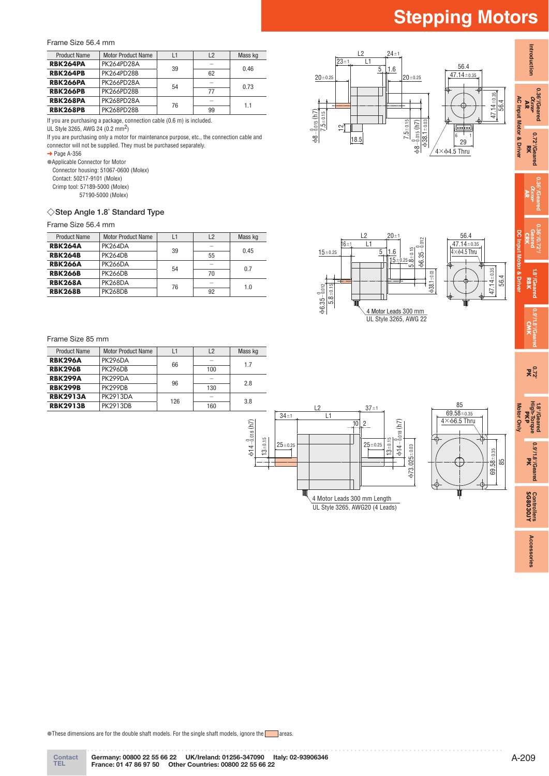Frame Size 56.4 mm

| <b>Product Name</b> | <b>Motor Product Name</b><br>L2<br>11 |    | Mass kg |      |
|---------------------|---------------------------------------|----|---------|------|
| RBK264PA            | PK264PD28A                            | 39 |         | 0.46 |
| <b>RBK264PB</b>     | PK264PD28B                            |    | 62      |      |
| <b>RBK266PA</b>     | <b>PK266PD28A</b>                     | 54 |         | 0.73 |
| <b>RBK266PB</b>     | <b>PK266PD28B</b>                     |    | 77      |      |
| <b>RBK268PA</b>     | PK268PD28A                            | 76 |         | 11   |
| <b>RBK268PB</b>     | <b>PK268PD28B</b>                     |    | 99      |      |

If you are purchasing a package, connection cable (0.6 m) is included.

UL Style 3265, AWG 24 (0.2 mm2)

If you are purchasing only a motor for maintenance purpose, etc., the connection cable and connector will not be supplied. They must be purchased separately.

 $\rightarrow$  Page A-356

●Applicable Connector for Motor

Connector housing: 51067-0600 (Molex) Contact: 50217-9101 (Molex)

Crimp tool: 57189-5000 (Molex)

57190-5000 (Molex)

### ◇**Step Angle 1.8˚ Standard Type**

#### Frame Size 56.4 mm

| <b>Product Name</b> | <b>Motor Product Name</b><br>L2<br>L1 |    | Mass kg |      |
|---------------------|---------------------------------------|----|---------|------|
| <b>RBK264A</b>      | PK264DA                               | 39 |         | 0.45 |
| <b>RBK264B</b>      | <b>PK264DB</b>                        |    | 55      |      |
| <b>RBK266A</b>      | <b>PK266DA</b>                        | 54 | -       | 0.7  |
| <b>RBK266B</b>      | <b>PK266DB</b>                        |    | 70      |      |
| <b>RBK268A</b>      | PK268DA                               | 76 |         | 1.0  |
| <b>RBK268B</b>      | <b>PK268DB</b>                        |    | 92      |      |

#### Frame Size 85 mm

| <b>Product Name</b> | <b>Motor Product Name</b> | L1  | L2                       | Mass kg |
|---------------------|---------------------------|-----|--------------------------|---------|
| <b>RBK296A</b>      | PK296DA                   | 66  | $\overline{\phantom{a}}$ | 17      |
| <b>RBK296B</b>      | <b>PK296DB</b>            |     | 100                      |         |
| <b>RBK299A</b>      | PK299DA                   | 96  |                          | 2.8     |
| <b>RBK299B</b>      | <b>PK299DB</b>            |     | 130                      |         |
| <b>RBK2913A</b>     | <b>PK2913DA</b>           | 126 | $\overline{\phantom{a}}$ | 3.8     |
| <b>RBK2913B</b>     | <b>PK2913DB</b>           |     | 160                      |         |





 $47.14 \pm 0.35$  $4\times$  $64.5$  Thru 47.14±0.35  $-0.35$ 56.4

UL Style 3265, AWG 22



**0.72° PK**

**1.8°/Geared High-Torque** 1.8°/Geared<br>High-Torque<br>**PKP** 

**Motor Only**

**Motor Only** 

**0.9°/1.8°/Geared**

**1.8°/Geared**

**DC Input Motor & Driver**

**Introduction**

Introduction

**0.36°/Geared**

**0.72°/Geared** 0.72°/Geared

**0.36°/Geared AR**

**0.36°/0.72°/ Geared CRK**



13±0.15

 $\text{d}$ 14 $-\frac{0}{0.018}$  (h7)



●These dimensions are for the double shaft models. For the single shaft models, ignore the areas.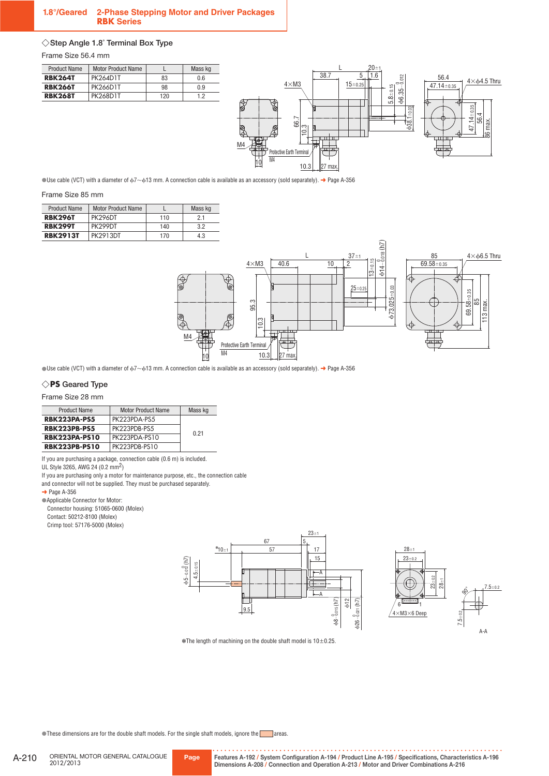### **1.8°/Geared 2-Phase Stepping Motor and Driver Packages RBK Series**

# ◇**Step Angle 1.8˚ Terminal Box Type**

Frame Size 56.4 mm

| <b>Product Name</b> | <b>Motor Product Name</b> |     | Mass kg |
|---------------------|---------------------------|-----|---------|
| <b>RBK264T</b>      | <b>PK264D1T</b>           | 83  | 0.6     |
| <b>RBK266T</b>      | <b>PK266D1T</b>           | 98  | 0.9     |
| <b>RBK268T</b>      | PK268D1T                  | 120 | 12      |
|                     |                           |     |         |



●Use cable (VCT) with a diameter of ϕ7∼ϕ13 mm. A connection cable is available as an accessory (sold separately). ➜ Page A-356

#### Frame Size 85 mm

| <b>Product Name</b> | <b>Motor Product Name</b> |     | Mass kg |
|---------------------|---------------------------|-----|---------|
| <b>RBK296T</b>      | PK296DT                   | 110 | 21      |
| <b>RBK299T</b>      | PK299DT                   | 140 | 3.2     |
| <b>RBK2913T</b>     | <b>PK2913DT</b>           | 170 | 4.3     |



●Use cable (VCT) with a diameter of ϕ7∼ϕ13 mm. A connection cable is available as an accessory (sold separately). ➜ Page A-356

# ◇**PS Geared Type**

Frame Size 28 mm

| <b>Product Name</b>  | <b>Motor Product Name</b> | Mass kg |
|----------------------|---------------------------|---------|
| <b>RBK223PA-PS5</b>  | PK223PDA-PS5              |         |
| <b>RBK223PB-PS5</b>  | PK223PDB-PS5              | 0.21    |
| <b>RBK223PA-PS10</b> | PK223PDA-PS10             |         |
| <b>RBK223PB-PS10</b> | PK223PDB-PS10             |         |

If you are purchasing a package, connection cable (0.6 m) is included.

UL Style 3265, AWG 24 (0.2 mm2)

If you are purchasing only a motor for maintenance purpose, etc., the connection cable

and connector will not be supplied. They must be purchased separately.

#### $\rightarrow$  Page A-356

●Applicable Connector for Motor: Connector housing: 51065-0600 (Molex)

Contact: 50212-8100 (Molex)

Crimp tool: 57176-5000 (Molex)





 $*$ The length of machining on the double shaft model is  $10\pm0.25$ .

●These dimensions are for the double shaft models. For the single shaft models, ignore the areas.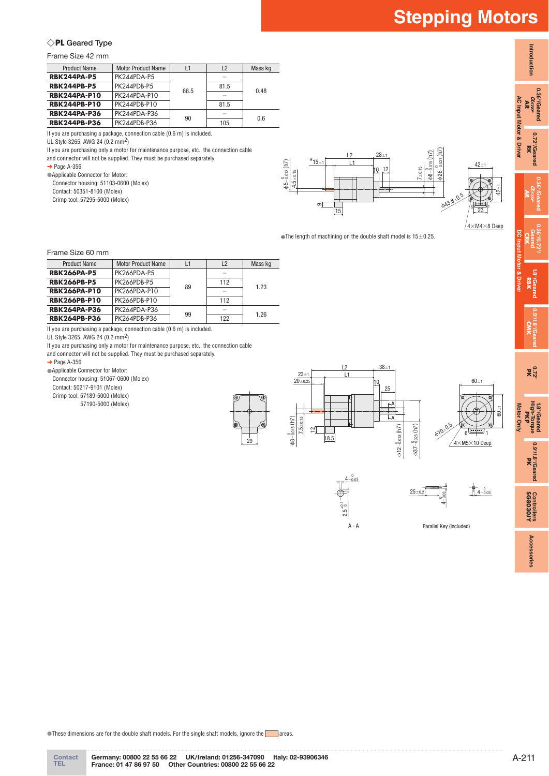**Introduction**

Introduction

**0.36°/Geared** 0.36°/Geared<br>*Asree*<br>**AR** 

> **0.72°/Geared** 0.72°/Geared<br>RK

**AC Input Motor & Driver**

AC Input Motor & Driver

**0.36°/Geared AR**

**0.36°/0.72°/ Geared CRK**

**1.8°/Geared** 1.8<sup>o</sup>/Geared<br>RBK

**DC Input Motor & Driver**

**0.9°/1.8°/Geared CMK**

**0.72° PK**

**1.8°/Geared High-Torque** 1.8<sup>0</sup>/Geared<br>High-Torque<br>**PKP** 

**Motor Only**

Motor Only

60±1

**0.9°/1.8°/Geared** 0.9'/1.8'/Geared

**SG8030JY Controllers**

Controllers<br>**SG8030JY** 

**Accessories**

Accessories

# ◇**PL Geared Type**

Frame Size 42 mm

| <b>Product Name</b>                                                    | <b>Motor Product Name</b> | 1    | L2   | Mass kg |
|------------------------------------------------------------------------|---------------------------|------|------|---------|
| <b>RBK244PA-P5</b>                                                     | PK244PDA-P5               |      |      |         |
| <b>RBK244PB-P5</b>                                                     | PK244PDB-P5               | 66.5 | 81.5 | 0.48    |
| <b>RBK244PA-P10</b>                                                    | PK244PDA-P10              |      |      |         |
| <b>RBK244PB-P10</b>                                                    | PK244PDB-P10              |      | 81.5 |         |
| <b>RBK244PA-P36</b>                                                    | PK244PDA-P36              | 90   |      | 0.6     |
| <b>RBK244PB-P36</b>                                                    | PK244PDB-P36              |      | 105  |         |
| If you are purchasing a package, connection cable (0.6 m) is included. |                           |      |      |         |

UL Style 3265, AWG 24 (0.2 mm2)

If you are purchasing only a motor for maintenance purpose, etc., the connection cable

and connector will not be supplied. They must be purchased separately.

 $\rightarrow$  Page A-356

●Applicable Connector for Motor:

Connector housing: 51103-0600 (Molex) Contact: 50351-8100 (Molex)

Crimp tool: 57295-5000 (Molex)

 $L1$  $L2$ ϕ5−0.012 (h7) 0  $b26-\frac{0}{0.021}$ ϕ8−0.015 (h7) 0  $42+1$  $28 + 1$  $*15+$  4.5±0.15 7±0.15 15 23 o. ϕ43.8<sup>±</sup>0.5 10 12  $42+1$  $4\times$ M4 $\times$ 8 Deep  $6 \frac{1}{100}$ 

 $*$ The length of machining on the double shaft model is  $15\pm0.25$ .

Frame Size 60 mm

| <b>Product Name</b> | <b>Motor Product Name</b> | L1 | L2  | Mass kg |
|---------------------|---------------------------|----|-----|---------|
| <b>RBK266PA-P5</b>  | PK266PDA-P5               |    |     |         |
| <b>RBK266PB-P5</b>  | PK266PDB-P5               | 89 | 112 | 1.23    |
| <b>RBK266PA-P10</b> | PK266PDA-P10              |    |     |         |
| <b>RBK266PB-P10</b> | PK266PDB-P10              |    | 112 |         |
| <b>RBK264PA-P36</b> | PK264PDA-P36              | 99 |     | 1.26    |
| <b>RBK264PB-P36</b> | PK264PDB-P36              |    | 122 |         |

If you are purchasing a package, connection cable (0.6 m) is included.

UL Style 3265, AWG 24 (0.2 mm2)

If you are purchasing only a motor for maintenance purpose, etc., the connection cable

and connector will not be supplied. They must be purchased separately.

 $\rightarrow$  Page A-356

● Applicable Connector for Motor:

Connector housing: 51067-0600 (Molex)

Contact: 50217-9101 (Molex)

Crimp tool: 57189-5000 (Molex)

57190-5000 (Molex)







A - A



Parallel Key (Included)

●These dimensions are for the double shaft models. For the single shaft models, ignore the areas.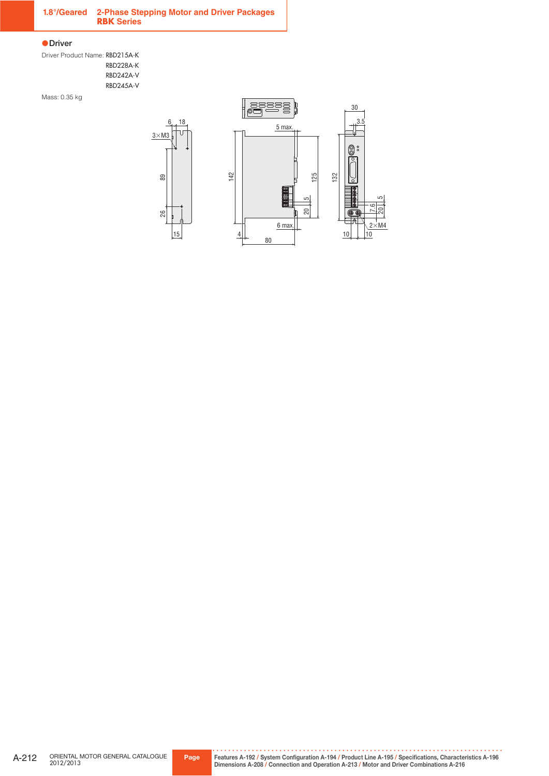# **1.8°/Geared 2-Phase Stepping Motor and Driver Packages RBK Series**

#### ●**Driver**

Driver Product Name: RBD215A-K RBD228A-K RBD242A-V RBD245A-V

Mass: 0.35 kg

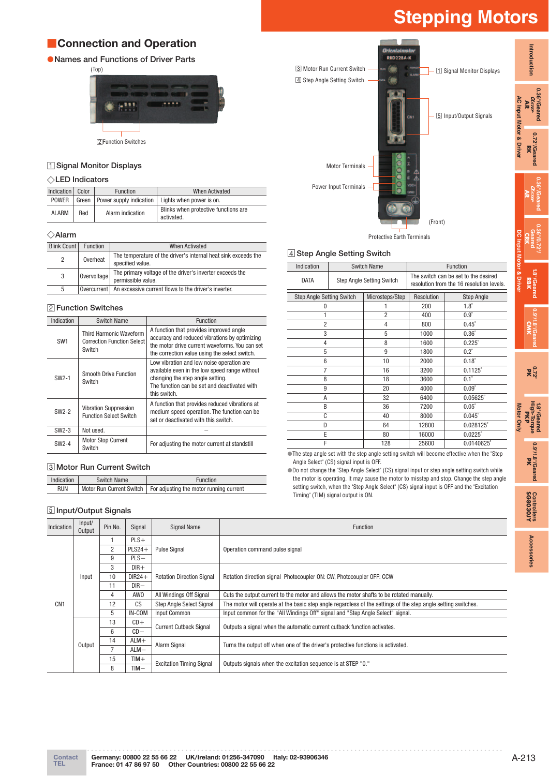# ■**Connection and Operation**

# ●**Names and Functions of Driver Parts**



□2 Function Switches

# □1 **Signal Monitor Displays**

# ◇**LED Indicators**

| Indication   | Color | <b>Function</b>                 | When Activated                                     |
|--------------|-------|---------------------------------|----------------------------------------------------|
| <b>POWER</b> |       | Green   Power supply indication | Lights when power is on.                           |
| <b>ALARM</b> | Red   | Alarm indication                | Blinks when protective functions are<br>activated. |

#### ◇**Alarm**

| Blink Count | <b>Function</b> | When Activated                                                                     |
|-------------|-----------------|------------------------------------------------------------------------------------|
| 2           | Overheat        | The temperature of the driver's internal heat sink exceeds the<br>specified value. |
| 3           | Overvoltage     | The primary voltage of the driver's inverter exceeds the<br>permissible value.     |
| 5           |                 | Overcurrent   An excessive current flows to the driver's inverter.                 |

# □2 **Function Switches**

| Indication        | <b>Switch Name</b>                                                            | <b>Function</b>                                                                                                                                                                                |
|-------------------|-------------------------------------------------------------------------------|------------------------------------------------------------------------------------------------------------------------------------------------------------------------------------------------|
| SW <sub>1</sub>   | <b>Third Harmonic Waveform</b><br><b>Correction Function Select</b><br>Switch | A function that provides improved angle<br>accuracy and reduced vibrations by optimizing<br>the motor drive current waveforms. You can set<br>the correction value using the select switch.    |
| SW <sub>2-1</sub> | Smooth Drive Function<br>Switch                                               | Low vibration and low noise operation are<br>available even in the low speed range without<br>changing the step angle setting.<br>The function can be set and deactivated with<br>this switch. |
| SW2-2             | <b>Vibration Suppression</b><br><b>Function Select Switch</b>                 | A function that provides reduced vibrations at<br>medium speed operation. The function can be<br>set or deactivated with this switch.                                                          |
| $SW2-3$           | Not used.                                                                     |                                                                                                                                                                                                |
| $SW2-4$           | <b>Motor Stop Current</b><br>Switch                                           | For adjusting the motor current at standstill                                                                                                                                                  |

# □3 **Motor Run Current Switch**

| Indication | <b>Switch Name</b> | Function                                                           |
|------------|--------------------|--------------------------------------------------------------------|
| <b>RUN</b> |                    | Motor Run Current Switch   For adjusting the motor running current |

# □5 **Input/Output Signals**

| riental motor<br><b>RBD228A-K</b><br>3 Motor Run Current Switch<br>4 Step Angle Setting Switch | 1 Signal Monitor Displays |                         |
|------------------------------------------------------------------------------------------------|---------------------------|-------------------------|
| CNT                                                                                            | 5 Input/Output Signals    | AC Input Motor & Driver |
| <b>Motor Terminals</b>                                                                         |                           |                         |
| oc<br>Power Input Terminals                                                                    |                           |                         |
|                                                                                                | (Front)                   |                         |



### □4 **Step Angle Setting Switch**

| Indication                       | <b>Switch Name</b>               |                 | Function                                                                          |                   |
|----------------------------------|----------------------------------|-----------------|-----------------------------------------------------------------------------------|-------------------|
| <b>DATA</b>                      | <b>Step Angle Setting Switch</b> |                 | The switch can be set to the desired<br>resolution from the 16 resolution levels. |                   |
| <b>Step Angle Setting Switch</b> |                                  | Microsteps/Step | Resolution                                                                        | <b>Step Angle</b> |
| $\Omega$                         |                                  |                 | 200                                                                               | $1.8^\circ$       |
|                                  |                                  | $\overline{2}$  | 400                                                                               | $0.9^\circ$       |
| $\overline{2}$                   |                                  | 4               | 800                                                                               | $0.45^\circ$      |
| 3                                |                                  | 5               | 1000                                                                              | $0.36^\circ$      |
| 4                                |                                  | 8               | 1600                                                                              | $0.225^\circ$     |
| 5                                |                                  |                 | 1800                                                                              | $0.2^\circ$       |
| 6                                |                                  |                 | 2000                                                                              | $0.18^\circ$      |
| 7                                |                                  |                 | 3200                                                                              | $0.1125^{\circ}$  |
| 8                                |                                  |                 | 3600                                                                              | $0.1^\circ$       |
| 9                                |                                  | 20              | 4000                                                                              | $0.09^\circ$      |
| A                                |                                  | 32              | 6400                                                                              | $0.05625^{\circ}$ |
| B                                |                                  | 36              | 7200                                                                              | $0.05^\circ$      |
| C                                |                                  | 40              | 8000                                                                              | $0.045^\circ$     |
| D                                |                                  | 64              | 12800                                                                             | 0.028125°         |
| E                                |                                  | 80              | 16000                                                                             | $0.0225^{\circ}$  |
| F                                |                                  | 128             | 25600                                                                             | 0.0140625°        |

●The step angle set with the step angle setting switch will become effective when the "Step Angle Select" (CS) signal input is OFF.

●Do not change the "Step Angle Select" (CS) signal input or step angle setting switch while the motor is operating. It may cause the motor to misstep and stop. Change the step angle setting switch, when the "Step Angle Select" (CS) signal input is OFF and the "Excitation Timing" (TIM) signal output is ON.

| Indication      | Input/<br>Output | Pin No.        | Signal          | Signal Name                      | Function                                                                                                      |  |  |
|-----------------|------------------|----------------|-----------------|----------------------------------|---------------------------------------------------------------------------------------------------------------|--|--|
| CN <sub>1</sub> |                  |                | $PLS+$          |                                  |                                                                                                               |  |  |
|                 |                  | $\overline{2}$ | $PLS24+$        | <b>Pulse Signal</b>              | Operation command pulse signal                                                                                |  |  |
|                 |                  | 9              | $PLS -$         |                                  |                                                                                                               |  |  |
|                 |                  | 3              | $DIR+$          |                                  | Rotation direction signal Photocoupler ON: CW, Photocoupler OFF: CCW                                          |  |  |
|                 | Input            | 10             | $DIR24 +$       | <b>Rotation Direction Signal</b> |                                                                                                               |  |  |
|                 |                  | 11             | $DIR-$          |                                  |                                                                                                               |  |  |
|                 |                  | 4              | AW <sub>0</sub> | All Windings Off Signal          | Cuts the output current to the motor and allows the motor shafts to be rotated manually.                      |  |  |
|                 |                  | 12             | CS              | <b>Step Angle Select Signal</b>  | The motor will operate at the basic step angle regardless of the settings of the step angle setting switches. |  |  |
|                 |                  | 5              | IN-COM          | Input Common                     | Input common for the "All Windings Off" signal and "Step Angle Select" signal.                                |  |  |
|                 |                  | 13             | $CD +$          | <b>Current Cutback Signal</b>    | Outputs a signal when the automatic current cutback function activates.                                       |  |  |
|                 |                  | 6              | $CD -$          |                                  |                                                                                                               |  |  |
|                 |                  | 14             | $ALM+$          | Alarm Signal                     | Turns the output off when one of the driver's protective functions is activated.                              |  |  |
|                 | Output           |                | $ALM -$         |                                  |                                                                                                               |  |  |
|                 |                  | 15             | $TIM +$         | <b>Excitation Timing Signal</b>  | Outputs signals when the excitation sequence is at STEP "0."                                                  |  |  |
|                 |                  | 8              | $TIM -$         |                                  |                                                                                                               |  |  |

**Introduction**

Introduction

**0.36°/Geared AR**

0.36 /Geared

**0.72°/Geared** 0.72°/Geared<br>**RK** 

**0.36°/Geared AR**

**0.36°/0.72°/ Geared CRK**

**1.8°/Geared** 18<sup>°</sup>/Geared<br>**RBK** 

**DC Input Motor & Driver**

**SG8030JY Controllers**

Controllers<br>**SG8030JY** 

**Accessories**

Accessories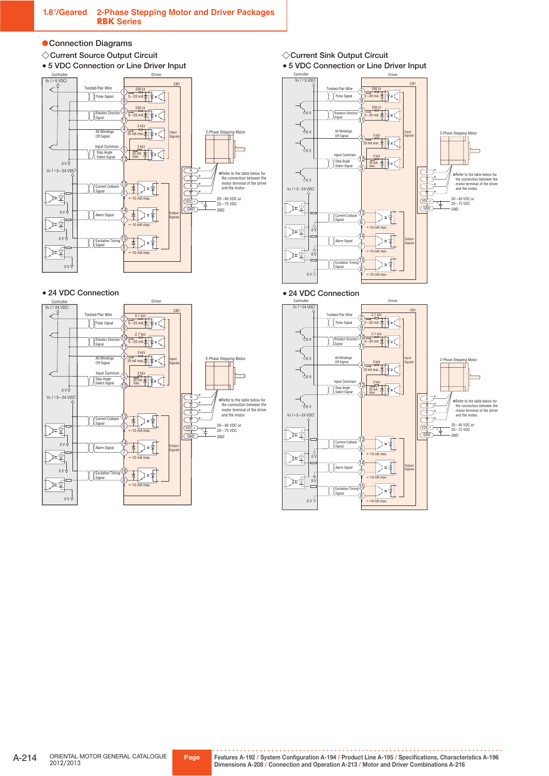### ●**Connection Diagrams**

◇**Current Source Output Circuit**

●**5 VDC Connection or Line Driver Input**



### ●**24 VDC Connection**



- ◇**Current Sink Output Circuit** ●**5 VDC Connection or Line Driver Input**
- Controller V0 (+5 VDC) Driver CN1 Twisted-Pair Wire 200 Ω 1 Pulse Signa  $\frac{1}{20}$ mA  $\frac{1}{4}$   $\sqrt{2}$  =  $\frac{1}{2}$ 9 200 Ω  $\hat{\mathcal{F}}^{0}$ 3 5∼20 mA Rotation Direction Signal 11  $\overleftrightarrow{f}$ <sup>0</sup> All Windings Off Signal Input Signals 2-Phase Stepping Motor 3 kΩ 4 20 mA max.  $\overleftrightarrow{\phi}$ <sup>0</sup> Input Common 3 kΩ 12 Step Angle Select Signal 20 mA max. 5 ✽ A  $\sum_{i=1}^N$ ✽Refer to the table below for the connection between the motor terminal of the driver ✽ A ✽ V0 (+5∼24 VDC) B and the motor.  $\frac{1}{2}$ ✽ 20∼40 VDC or 20∼75 VDC  $\frac{\overline{VDC} + \overline{C}}{\overline{GND}}$ ♪⊧⊈ **GND** 13 Ľ  $=\frac{1}{2}$ Current Cutback Signal  $\frac{1}{2}$ D≠⊈  $+10$  mA max. 14  $\chi$   $\chi$  Alarm Sign **Output** 7 ∑≠⊈  $+10$  mA max. 0 V 15 Excitation Timing Signal  $0 V \rightarrow$  $+10$  mA max.



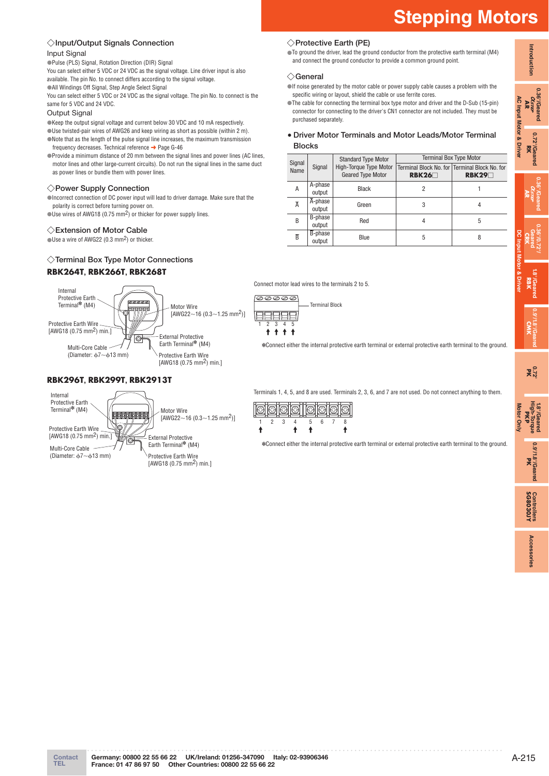# ◇**Input/Output Signals Connection**

### Input Signal

●Pulse (PLS) Signal, Rotation Direction (DIR) Signal

You can select either 5 VDC or 24 VDC as the signal voltage. Line driver input is also available. The pin No. to connect differs according to the signal voltage. **•All Windings Off Signal, Step Angle Select Signal** 

You can select either 5 VDC or 24 VDC as the signal voltage. The pin No. to connect is the same for 5 VDC and 24 VDC.

#### Output Signal

●Keep the output signal voltage and current below 30 VDC and 10 mA respectively.

●Use twisted-pair wires of AWG26 and keep wiring as short as possible (within 2 m). ●Note that as the length of the pulse signal line increases, the maximum transmission frequency decreases. Technical reference ➜ Page G-46

●Provide a minimum distance of 20 mm between the signal lines and power lines (AC lines, motor lines and other large-current circuits). Do not run the signal lines in the same duct as power lines or bundle them with power lines.

#### ◇**Power Supply Connection**

●Incorrect connection of DC power input will lead to driver damage. Make sure that the polarity is correct before turning power on.

●Use wires of AWG18 (0.75 mm<sup>2</sup>) or thicker for power supply lines.

### ◇**Extension of Motor Cable**

 $U$ Use a wire of AWG22 (0.3 mm<sup>2</sup>) or thicker.

# ◇**Terminal Box Type Motor Connections**

### **RBK264T, RBK266T, RBK268T**

#### Internal Protective Earth Terminal✽ (M4) Motor Wire [AWG22∼16 (0.3∼1.25 mm2)] Protective Earth Wire [AWG18 (0.75 mm2) min.] External Protective ि Earth Terminal<sup>\*</sup> (M4) Multi-Core Cable (Diameter: ϕ7∼ϕ13 mm) Protective Earth Wire  $[AWG18 (0.75 mm<sup>2</sup>) min.]$

# **RBK296T, RBK299T, RBK2913T**



Terminals 1, 4, 5, and 8 are used. Terminals 2, 3, 6, and 7 are not used. Do not connect anything to them.

✽Connect either the internal protective earth terminal or external protective earth terminal to the ground.



Connect motor lead wires to the terminals 2 to 5.

Terminal Block

12345

日日日日日 **+ + + +** 

100000

✽Connect either the internal protective earth terminal or external protective earth terminal to the ground.

◇**Protective Earth (PE)**

●To ground the driver, lead the ground conductor from the protective earth terminal (M4) and connect the ground conductor to provide a common ground point.

#### ◇**General**

●If noise generated by the motor cable or power supply cable causes a problem with the specific wiring or layout, shield the cable or use ferrite cores.

 ● **Driver Motor Terminals and Motor Leads/Motor Terminal Blocks** 

| Signal<br>Name | Signal                          | <b>Standard Type Motor</b>                         | <b>Terminal Box Type Motor</b>                         |       |  |
|----------------|---------------------------------|----------------------------------------------------|--------------------------------------------------------|-------|--|
|                |                                 | High-Torque Type Motor<br><b>Geared Type Motor</b> | Terminal Block No. for Terminal Block No. for<br>RBK26 | RBK29 |  |
| A              | A-phase<br>output               | <b>Black</b>                                       | 2                                                      |       |  |
| $\overline{A}$ | $\overline{A}$ -phase<br>output | Green                                              | 3                                                      | 4     |  |
| B              | B-phase<br>output               | Red                                                | 4                                                      | 5     |  |
| $\overline{B}$ | B-phase<br>output               | Blue                                               | 5                                                      | 8     |  |

**CRK**

**DC Input Motor & Driver**

**Introduction**

Introduction

**0.36°/Geared** 0.36°/Geared<br>*Asree*<br>**AR** 

> **0.72°/Geared** 0.72°/Geared<br>RK

**AC Input Motor & Driver**

AC Input Motor & Driver

**0.36°/Geared AR**

**CMK**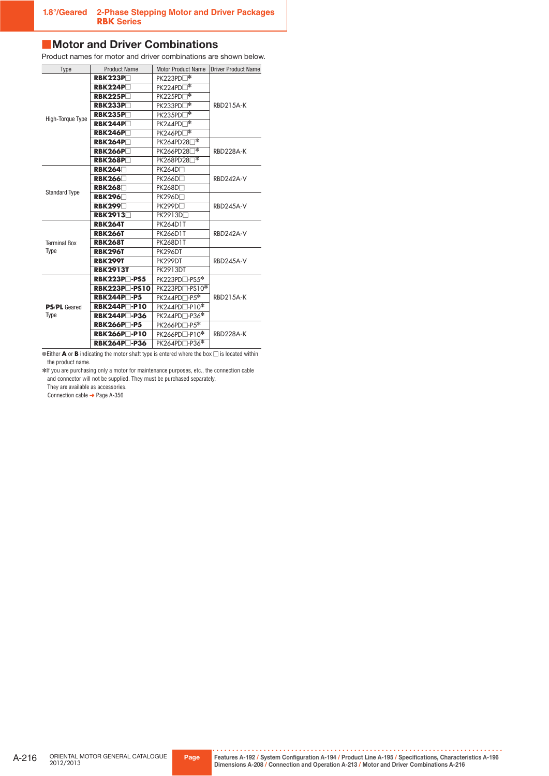# ■ Motor and Driver Combinations

Product names for motor and driver combinations are shown below.

| <b>Product Name</b><br>Type |                                  | <b>Motor Product Name</b>    | <b>Driver Product Name</b> |  |
|-----------------------------|----------------------------------|------------------------------|----------------------------|--|
|                             | RBK223P                          | ๅ*<br>PK223PD                |                            |  |
|                             | RBK224P                          | PK224PD <sup>*</sup>         |                            |  |
|                             | RBK225P                          | *<br>PK225PD                 | <b>RBD215A-K</b>           |  |
|                             | RBK233P                          | া≭<br>PK233PDI               |                            |  |
|                             | RBK235P                          | ⊣∗<br>PK235PDI               |                            |  |
| High-Torque Type            | RBK244P                          | PK244PD□*                    |                            |  |
|                             | RBK246P                          | PK246PD□*                    |                            |  |
|                             | RBK264P                          | PK264PD28 <sup>*</sup>       |                            |  |
|                             | <b>RBK266P</b>                   | PK266PD28□*                  | RBD228A-K                  |  |
|                             | <b>RBK268P</b> □                 | PK268PD28                    |                            |  |
|                             | RBK264                           | PK264D□                      |                            |  |
|                             | <b>RBK266</b>                    | <b>PK266D</b> □              | RBD242A-V                  |  |
| <b>Standard Type</b>        | <b>RBK268</b>                    | PK268D□                      |                            |  |
|                             | <b>RBK296</b> □                  | PK296D□                      | <b>RBD245A-V</b>           |  |
|                             | <b>RBK299</b>                    | PK299D□                      |                            |  |
|                             | <b>RBK2913</b> □                 | PK2913D□                     |                            |  |
|                             | <b>RBK264T</b>                   | <b>PK264D1T</b>              |                            |  |
|                             | <b>RBK266T</b>                   | <b>PK266D1T</b>              | RBD242A-V                  |  |
| <b>Terminal Box</b>         | <b>RBK268T</b>                   | <b>PK268D1T</b>              |                            |  |
| Type                        | <b>RBK296T</b>                   | PK296DT                      |                            |  |
|                             | <b>RBK299T</b>                   | PK299DT                      | RBD245A-V                  |  |
|                             | <b>RBK2913T</b>                  | <b>PK2913DT</b>              |                            |  |
|                             | RBK223P□-PS5                     | PK223PD□-PS5*                |                            |  |
|                             | <b>RBK223P-PS10</b>              | $PK223PD$ -PS10 <sup>*</sup> |                            |  |
| <b>PS/PL</b> Geared         | <b>RBK244P</b> <sup>−</sup> -P5  | PK244PD <sup>-P5*</sup>      | <b>RBD215A-K</b>           |  |
|                             | <b>RBK244P</b> -P10              | PK244PD□-P10*                |                            |  |
| Type                        | <b>RBK244P</b> <sup>−</sup> -P36 | PK244PD□-P36*                |                            |  |
|                             | <b>RBK266P</b> <sup>−</sup> P5   | PK266PD□-P5*                 |                            |  |
|                             | <b>RBK266P</b> <sup>−</sup> -P10 | PK266PD□-P10*                | RBD228A-K                  |  |
|                             | <b>RBK264P</b> -P36              | PK264PD□-P36 <sup>*</sup>    |                            |  |

 $\bullet$  Either **A** or **B** indicating the motor shaft type is entered where the box  $\Box$  is located within the product name.

✽If you are purchasing only a motor for maintenance purposes, etc., the connection cable and connector will not be supplied. They must be purchased separately.

They are available as accessories. Connection cable ➜ Page A-356